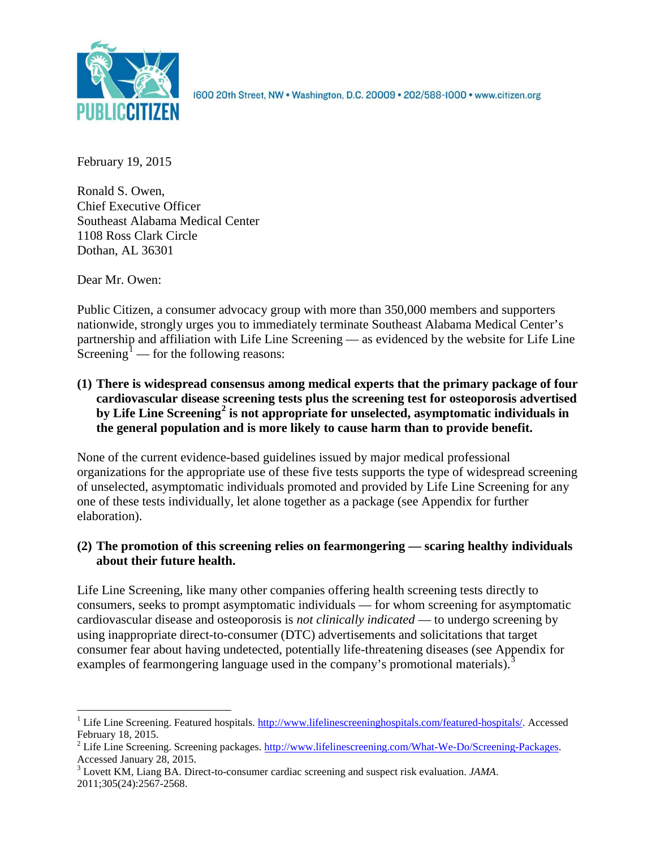

1600 20th Street, NW . Washington, D.C. 20009 . 202/588-1000 . www.citizen.org

February 19, 2015

Ronald S. Owen, Chief Executive Officer Southeast Alabama Medical Center 1108 Ross Clark Circle Dothan, AL 36301

Dear Mr. Owen:

Public Citizen, a consumer advocacy group with more than 350,000 members and supporters nationwide, strongly urges you to immediately terminate Southeast Alabama Medical Center's partnership and affiliation with Life Line Screening — as evidenced by the website for Life Line Screening<sup>[1](#page-0-0)</sup> — for the following reasons:

**(1) There is widespread consensus among medical experts that the primary package of four cardiovascular disease screening tests plus the screening test for osteoporosis advertised by Life Line Screening[2](#page-0-1) is not appropriate for unselected, asymptomatic individuals in the general population and is more likely to cause harm than to provide benefit.**

None of the current evidence-based guidelines issued by major medical professional organizations for the appropriate use of these five tests supports the type of widespread screening of unselected, asymptomatic individuals promoted and provided by Life Line Screening for any one of these tests individually, let alone together as a package (see Appendix for further elaboration).

# **(2) The promotion of this screening relies on fearmongering — scaring healthy individuals about their future health.**

Life Line Screening, like many other companies offering health screening tests directly to consumers, seeks to prompt asymptomatic individuals — for whom screening for asymptomatic cardiovascular disease and osteoporosis is *not clinically indicated* — to undergo screening by using inappropriate direct-to-consumer (DTC) advertisements and solicitations that target consumer fear about having undetected, potentially life-threatening diseases (see Appendix for examples of fearmongering language used in the company's promotional materials).<sup>[3](#page-0-2)</sup>

<span id="page-0-0"></span><sup>&</sup>lt;sup>1</sup> Life Line Screening. Featured hospitals. [http://www.lifelinescreeninghospitals.com/featured-hospitals/.](http://www.lifelinescreeninghospitals.com/featured-hospitals/) Accessed

<span id="page-0-1"></span>February 18, 2015.<br><sup>2</sup> Life Line Screening. Screening packages. [http://www.lifelinescreening.com/What-We-Do/Screening-Packages.](http://www.lifelinescreening.com/What-We-Do/Screening-Packages)<br>Accessed January 28, 2015.

<span id="page-0-2"></span><sup>&</sup>lt;sup>3</sup> Lovett KM, Liang BA. Direct-to-consumer cardiac screening and suspect risk evaluation. *JAMA*. 2011;305(24):2567-2568.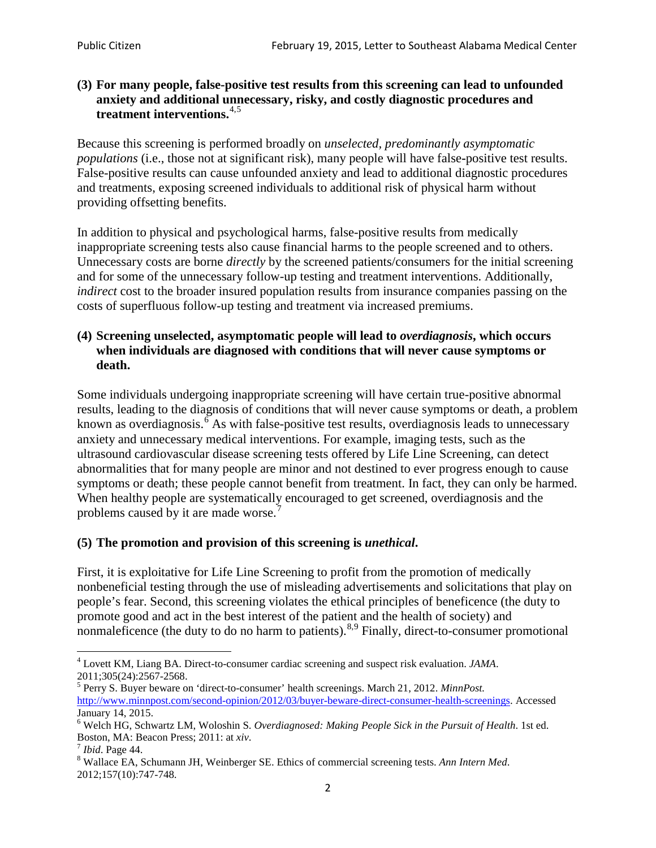## **(3) For many people, false-positive test results from this screening can lead to unfounded anxiety and additional unnecessary, risky, and costly diagnostic procedures and treatment interventions.**[4](#page-1-0),[5](#page-1-1)

Because this screening is performed broadly on *unselected, predominantly asymptomatic populations* (i.e., those not at significant risk), many people will have false**-**positive test results. False-positive results can cause unfounded anxiety and lead to additional diagnostic procedures and treatments, exposing screened individuals to additional risk of physical harm without providing offsetting benefits.

In addition to physical and psychological harms, false-positive results from medically inappropriate screening tests also cause financial harms to the people screened and to others. Unnecessary costs are borne *directly* by the screened patients/consumers for the initial screening and for some of the unnecessary follow-up testing and treatment interventions. Additionally, *indirect* cost to the broader insured population results from insurance companies passing on the costs of superfluous follow-up testing and treatment via increased premiums.

## **(4) Screening unselected, asymptomatic people will lead to** *overdiagnosis***, which occurs when individuals are diagnosed with conditions that will never cause symptoms or death.**

Some individuals undergoing inappropriate screening will have certain true-positive abnormal results, leading to the diagnosis of conditions that will never cause symptoms or death, a problem known as overdiagnosis.<sup>[6](#page-1-2)</sup> As with false-positive test results, overdiagnosis leads to unnecessary anxiety and unnecessary medical interventions. For example, imaging tests, such as the ultrasound cardiovascular disease screening tests offered by Life Line Screening, can detect abnormalities that for many people are minor and not destined to ever progress enough to cause symptoms or death; these people cannot benefit from treatment. In fact, they can only be harmed. When healthy people are systematically encouraged to get screened, overdiagnosis and the problems caused by it are made worse.<sup>[7](#page-1-3)</sup>

## **(5) The promotion and provision of this screening is** *unethical***.**

First, it is exploitative for Life Line Screening to profit from the promotion of medically nonbeneficial testing through the use of misleading advertisements and solicitations that play on people's fear. Second, this screening violates the ethical principles of beneficence (the duty to promote good and act in the best interest of the patient and the health of society) and nonmaleficence (the duty to do no harm to patients).<sup>[8](#page-1-4),[9](#page-1-5)</sup> Finally, direct-to-consumer promotional

<span id="page-1-5"></span><span id="page-1-0"></span><sup>4</sup> Lovett KM, Liang BA. Direct-to-consumer cardiac screening and suspect risk evaluation. *JAMA*.

<span id="page-1-1"></span><sup>2011;305(24):2567-2568.</sup> <sup>5</sup> Perry S. Buyer beware on 'direct-to-consumer' health screenings. March 21, 2012. *MinnPost.*  [http://www.minnpost.com/second-opinion/2012/03/buyer-beware-direct-consumer-health-screenings.](http://www.minnpost.com/second-opinion/2012/03/buyer-beware-direct-consumer-health-screenings) Accessed January 14, 2015.

<span id="page-1-2"></span><sup>6</sup> Welch HG, Schwartz LM, Woloshin S. *Overdiagnosed: Making People Sick in the Pursuit of Health*. 1st ed. Boston, MA: Beacon Press; 2011: at *xiv*.<br><sup>7</sup> *Ibid*. Page 44.<br><sup>8</sup> Wallace EA, Schumann JH, Weinberger SE. Ethics of commercial screening tests. *Ann Intern Med*.

<span id="page-1-3"></span>

<span id="page-1-4"></span><sup>2012;157(10):747-748.</sup>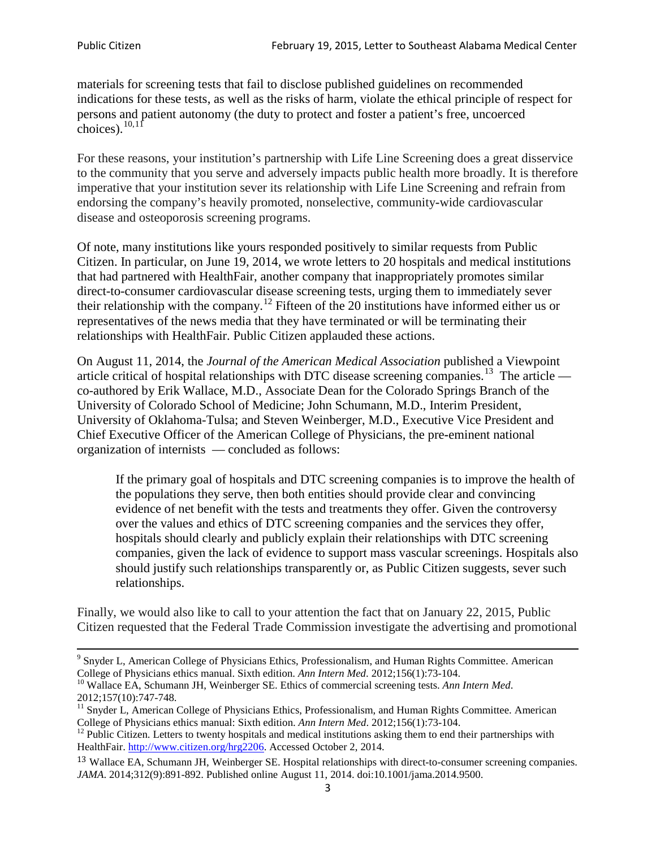materials for screening tests that fail to disclose published guidelines on recommended indications for these tests, as well as the risks of harm, violate the ethical principle of respect for persons and patient autonomy (the duty to protect and foster a patient's free, uncoerced choices). $\frac{10,11}{10,11}$  $\frac{10,11}{10,11}$  $\frac{10,11}{10,11}$  $\frac{10,11}{10,11}$ 

For these reasons, your institution's partnership with Life Line Screening does a great disservice to the community that you serve and adversely impacts public health more broadly. It is therefore imperative that your institution sever its relationship with Life Line Screening and refrain from endorsing the company's heavily promoted, nonselective, community**-**wide cardiovascular disease and osteoporosis screening programs.

Of note, many institutions like yours responded positively to similar requests from Public Citizen. In particular, on June 19, 2014, we wrote letters to 20 hospitals and medical institutions that had partnered with HealthFair, another company that inappropriately promotes similar direct-to-consumer cardiovascular disease screening tests, urging them to immediately sever their relationship with the company. [12](#page-2-2) Fifteen of the 20 institutions have informed either us or representatives of the news media that they have terminated or will be terminating their relationships with HealthFair. Public Citizen applauded these actions.

On August 11, 2014, the *Journal of the American Medical Association* published a Viewpoint article critical of hospital relationships with DTC disease screening companies.<sup>13</sup> The article co-authored by Erik Wallace, M.D., Associate Dean for the Colorado Springs Branch of the University of Colorado School of Medicine; John Schumann, M.D., Interim President, University of Oklahoma-Tulsa; and Steven Weinberger, M.D., Executive Vice President and Chief Executive Officer of the American College of Physicians, the pre**-**eminent national organization of internists — concluded as follows:

If the primary goal of hospitals and DTC screening companies is to improve the health of the populations they serve, then both entities should provide clear and convincing evidence of net benefit with the tests and treatments they offer. Given the controversy over the values and ethics of DTC screening companies and the services they offer, hospitals should clearly and publicly explain their relationships with DTC screening companies, given the lack of evidence to support mass vascular screenings. Hospitals also should justify such relationships transparently or, as Public Citizen suggests, sever such relationships.

Finally, we would also like to call to your attention the fact that on January 22, 2015, Public Citizen requested that the Federal Trade Commission investigate the advertising and promotional

<sup>&</sup>lt;sup>9</sup> Snyder L, American College of Physicians Ethics, Professionalism, and Human Rights Committee. American College of Physicians ethics manual. Sixth edition. Ann Intern Med. 2012;156(1):73-104.

<span id="page-2-0"></span><sup>&</sup>lt;sup>10</sup> Wallace EA, Schumann JH, Weinberger SE. Ethics of commercial screening tests. *Ann Intern Med*. 2012;157(10):747-748.

<span id="page-2-1"></span> $11$  Snyder L, American College of Physicians Ethics, Professionalism, and Human Rights Committee. American College of Physicians ethics manual: Sixth edition. *Ann Intern Med*. 2012;156(1):73-104.<br><sup>12</sup> Public Citizen. Letters to twenty hospitals and medical institutions asking them to end their partnerships with

<span id="page-2-2"></span>HealthFair. [http://www.citizen.org/hrg2206.](http://www.citizen.org/hrg2206) Accessed October 2, 2014.

<span id="page-2-3"></span><sup>13</sup> Wallace EA, Schumann JH, Weinberger SE. Hospital relationships with direct-to-consumer screening companies. *JAMA*. 2014;312(9):891-892. Published online August 11, 2014. doi:10.1001/jama.2014.9500.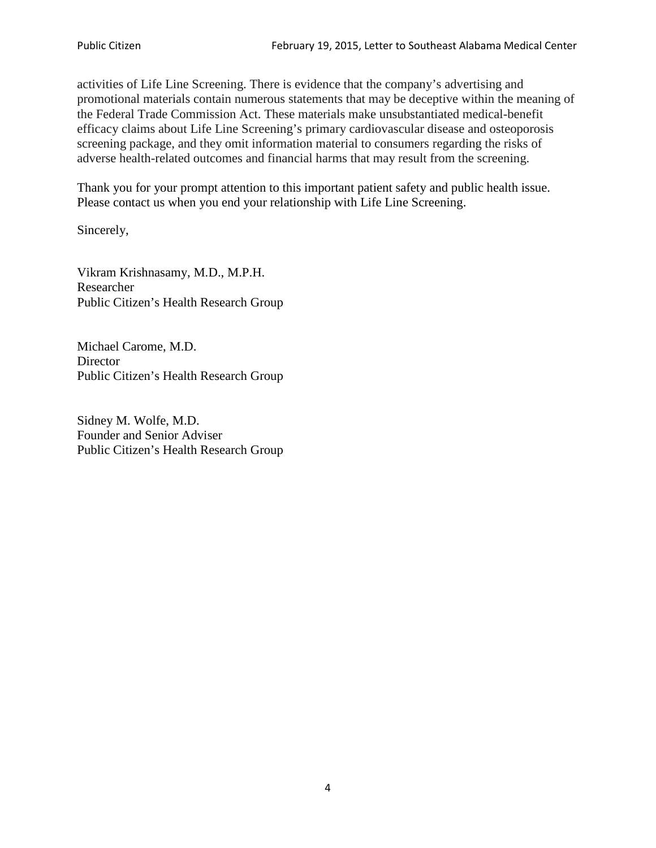activities of Life Line Screening. There is evidence that the company's advertising and promotional materials contain numerous statements that may be deceptive within the meaning of the Federal Trade Commission Act. These materials make unsubstantiated medical-benefit efficacy claims about Life Line Screening's primary cardiovascular disease and osteoporosis screening package, and they omit information material to consumers regarding the risks of adverse health-related outcomes and financial harms that may result from the screening.

Thank you for your prompt attention to this important patient safety and public health issue. Please contact us when you end your relationship with Life Line Screening.

Sincerely,

Vikram Krishnasamy, M.D., M.P.H. Researcher Public Citizen's Health Research Group

Michael Carome, M.D. **Director** Public Citizen's Health Research Group

Sidney M. Wolfe, M.D. Founder and Senior Adviser Public Citizen's Health Research Group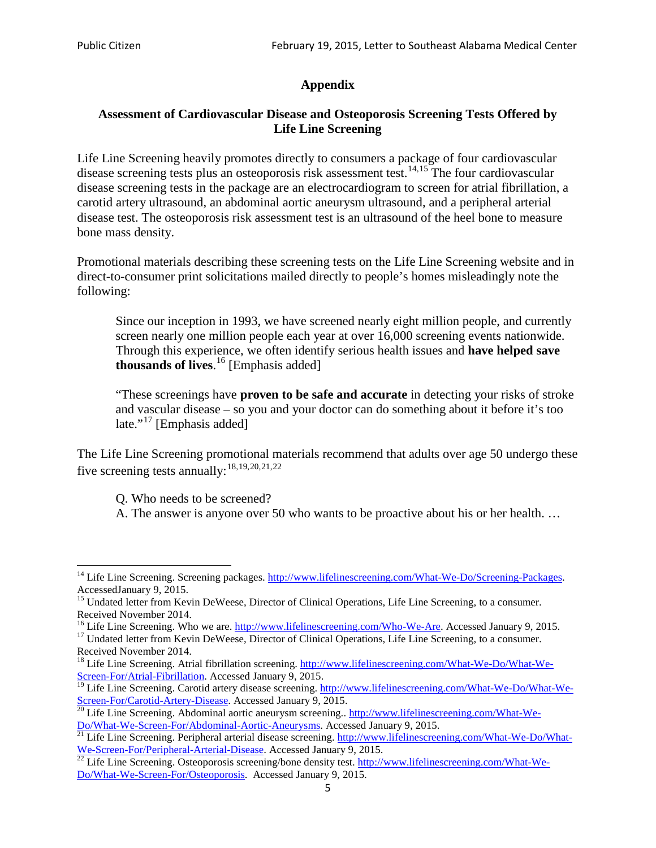# **Appendix**

## **Assessment of Cardiovascular Disease and Osteoporosis Screening Tests Offered by Life Line Screening**

Life Line Screening heavily promotes directly to consumers a package of four cardiovascular disease screening tests plus an osteoporosis risk assessment test.<sup>[14](#page-4-0),[15](#page-4-1)</sup> The four cardiovascular disease screening tests in the package are an electrocardiogram to screen for atrial fibrillation, a carotid artery ultrasound, an abdominal aortic aneurysm ultrasound, and a peripheral arterial disease test. The osteoporosis risk assessment test is an ultrasound of the heel bone to measure bone mass density.

Promotional materials describing these screening tests on the Life Line Screening website and in direct-to-consumer print solicitations mailed directly to people's homes misleadingly note the following:

Since our inception in 1993, we have screened nearly eight million people, and currently screen nearly one million people each year at over 16,000 screening events nationwide. Through this experience, we often identify serious health issues and **have helped save thousands of lives**. [16](#page-4-2) [Emphasis added]

"These screenings have **proven to be safe and accurate** in detecting your risks of stroke and vascular disease – so you and your doctor can do something about it before it's too late."<sup>[17](#page-4-3)</sup> [Emphasis added]

The Life Line Screening promotional materials recommend that adults over age 50 undergo these five screening tests annually:<sup>[18](#page-4-4),[19,](#page-4-5)[20,](#page-4-6)[21](#page-4-7),[22](#page-4-8)</sup>

Q. Who needs to be screened?

A. The answer is anyone over 50 who wants to be proactive about his or her health. …

<span id="page-4-0"></span><sup>&</sup>lt;sup>14</sup> Life Line Screening. Screening packages. [http://www.lifelinescreening.com/What-We-Do/Screening-Packages.](http://www.lifelinescreening.com/What-We-Do/Screening-Packages) AccessedJanuary 9, 2015.

<span id="page-4-1"></span><sup>&</sup>lt;sup>15</sup> Undated letter from Kevin DeWeese, Director of Clinical Operations, Life Line Screening, to a consumer.

Received November 2014.<br><sup>16</sup> Life Line Screening. Who we are. http://www.lifelinescreening.com/Who-We-Are. Accessed January 9, 2015.

<span id="page-4-3"></span><span id="page-4-2"></span><sup>&</sup>lt;sup>17</sup> Undated letter from Kevin DeWeese, Director of Clinical Operations, Life Line Screening, to a consumer. Received November 2014.

<span id="page-4-4"></span><sup>&</sup>lt;sup>18</sup> Life Line Screening. Atrial fibrillation screening. [http://www.lifelinescreening.com/What-We-Do/What-We-](http://www.lifelinescreening.com/What-We-Do/What-We-Screen-For/Atrial-Fibrillation)[Screen-For/Atrial-Fibrillation.](http://www.lifelinescreening.com/What-We-Do/What-We-Screen-For/Atrial-Fibrillation) Accessed January 9, 2015.

<span id="page-4-5"></span><sup>&</sup>lt;sup>19</sup> Life Line Screening. Carotid artery disease screening. [http://www.lifelinescreening.com/What-We-Do/What-We-](http://www.lifelinescreening.com/What-We-Do/What-We-Screen-For/Carotid-Artery-Disease)

<span id="page-4-6"></span>[Screen-For/Carotid-Artery-Disease.](http://www.lifelinescreening.com/What-We-Do/What-We-Screen-For/Carotid-Artery-Disease) Accessed January 9, 2015.<br><sup>20</sup> Life Line Screening. Abdominal aortic aneurysm screening.. http://www.lifelinescreening.com/What-We-<br>Do/What-We-Screen-For/Abdominal-Aortic-Aneurysms. Acces

<span id="page-4-7"></span> $\frac{1}{21}$  Life Line Screening. Peripheral arterial disease screening. [http://www.lifelinescreening.com/What-We-Do/What-](http://www.lifelinescreening.com/What-We-Do/What-We-Screen-For/Peripheral-Arterial-Disease)

<span id="page-4-8"></span>[We-Screen-For/Peripheral-Arterial-Disease.](http://www.lifelinescreening.com/What-We-Do/What-We-Screen-For/Peripheral-Arterial-Disease) Accessed January 9, 2015.<br><sup>22</sup> Life Line Screening. Osteoporosis screening/bone density test. [http://www.lifelinescreening.com/What-We-](http://www.lifelinescreening.com/What-We-Do/What-We-Screen-For/Osteoporosis)[Do/What-We-Screen-For/Osteoporosis.](http://www.lifelinescreening.com/What-We-Do/What-We-Screen-For/Osteoporosis) Accessed January 9, 2015.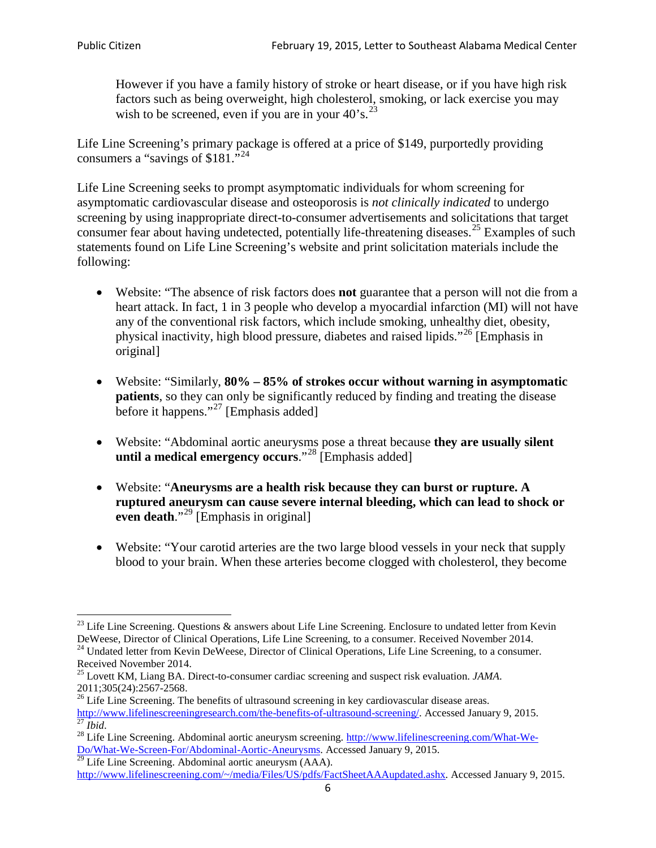However if you have a family history of stroke or heart disease, or if you have high risk factors such as being overweight, high cholesterol, smoking, or lack exercise you may wish to be screened, even if you are in your  $40^\circ$ s.<sup>[23](#page-5-0)</sup>

Life Line Screening's primary package is offered at a price of \$149, purportedly providing consumers a "savings of \$181."<sup>[24](#page-5-1)</sup>

Life Line Screening seeks to prompt asymptomatic individuals for whom screening for asymptomatic cardiovascular disease and osteoporosis is *not clinically indicated* to undergo screening by using inappropriate direct-to-consumer advertisements and solicitations that target consumer fear about having undetected, potentially life-threatening diseases.<sup>[25](#page-5-2)</sup> Examples of such statements found on Life Line Screening's website and print solicitation materials include the following:

- Website: "The absence of risk factors does **not** guarantee that a person will not die from a heart attack. In fact, 1 in 3 people who develop a myocardial infarction (MI) will not have any of the conventional risk factors, which include smoking, unhealthy diet, obesity, physical inactivity, high blood pressure, diabetes and raised lipids."[26](#page-5-3) [Emphasis in original]
- Website: "Similarly, **80% – 85% of strokes occur without warning in asymptomatic patients**, so they can only be significantly reduced by finding and treating the disease before it happens."<sup>[27](#page-5-4)</sup> [Emphasis added]
- Website: "Abdominal aortic aneurysms pose a threat because **they are usually silent until a medical emergency occurs**."[28](#page-5-5) [Emphasis added]
- Website: "**Aneurysms are a health risk because they can burst or rupture. A ruptured aneurysm can cause severe internal bleeding, which can lead to shock or even death.**"<sup>[29](#page-5-6)</sup> [Emphasis in original]
- Website: "Your carotid arteries are the two large blood vessels in your neck that supply blood to your brain. When these arteries become clogged with cholesterol, they become

<span id="page-5-0"></span><sup>&</sup>lt;sup>23</sup> Life Line Screening. Questions  $\&$  answers about Life Line Screening. Enclosure to undated letter from Kevin DeWeese, Director of Clinical Operations, Life Line Screening, to a consumer. Received November 2014.

<span id="page-5-1"></span><sup>&</sup>lt;sup>24</sup> Undated letter from Kevin DeWeese, Director of Clinical Operations, Life Line Screening, to a consumer. Received November 2014.

<span id="page-5-2"></span><sup>25</sup> Lovett KM, Liang BA. Direct-to-consumer cardiac screening and suspect risk evaluation. *JAMA*.  $2011;305(24):2567-2568$ .<br><sup>26</sup> Life Line Screening. The benefits of ultrasound screening in key cardiovascular disease areas.

<span id="page-5-3"></span>[http://www.lifelinescreeningresearch.com/the-benefits-of-ultrasound-screening/.](http://www.lifelinescreeningresearch.com/the-benefits-of-ultrasound-screening/) Accessed January 9, 2015.<br><sup>28</sup> Life Line Screening. Abdominal aortic aneurysm screening. http://www.lifelinescreening.com/What-We-<sup>28</sup>

<span id="page-5-5"></span><span id="page-5-4"></span>[Do/What-We-Screen-For/Abdominal-Aortic-Aneurysms.](http://www.lifelinescreening.com/What-We-Do/What-We-Screen-For/Abdominal-Aortic-Aneurysms) Accessed January 9, 2015. <sup>29</sup> Life Line Screening. Abdominal aortic aneurysm (AAA).

<span id="page-5-6"></span>[http://www.lifelinescreening.com/~/media/Files/US/pdfs/FactSheetAAAupdated.ashx.](http://www.lifelinescreening.com/~/media/Files/US/pdfs/FactSheetAAAupdated.ashx) Accessed January 9, 2015.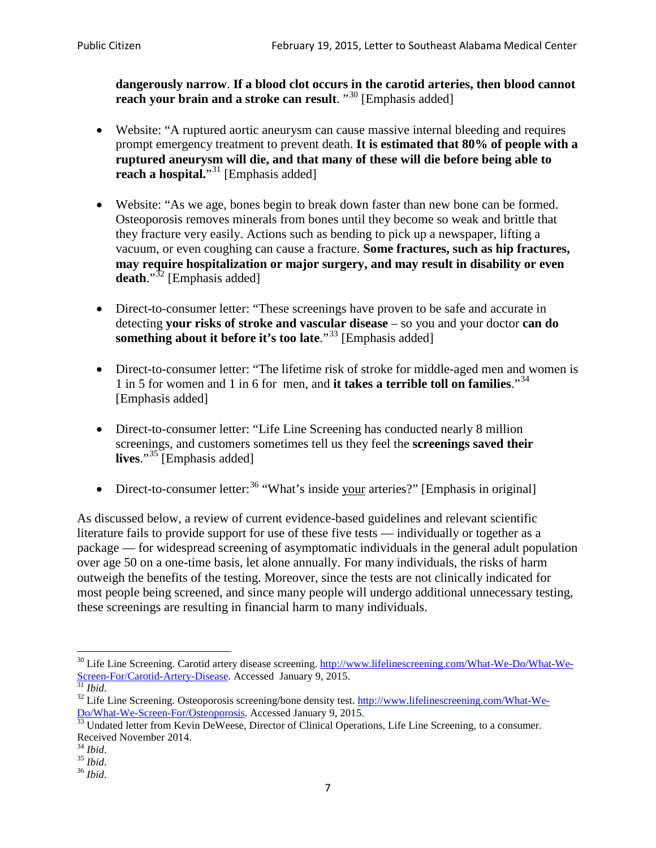**dangerously narrow**. **If a blood clot occurs in the carotid arteries, then blood cannot reach your brain and a stroke can result**. "<sup>[30](#page-6-0)</sup> [Emphasis added]

- Website: "A ruptured aortic aneurysm can cause massive internal bleeding and requires prompt emergency treatment to prevent death. **It is estimated that 80% of people with a ruptured aneurysm will die, and that many of these will die before being able to reach a hospital.**"<sup>[31](#page-6-1)</sup> [Emphasis added]
- Website: "As we age, bones begin to break down faster than new bone can be formed. Osteoporosis removes minerals from bones until they become so weak and brittle that they fracture very easily. Actions such as bending to pick up a newspaper, lifting a vacuum, or even coughing can cause a fracture. **Some fractures, such as hip fractures, may require hospitalization or major surgery, and may result in disability or even**  death."<sup>[32](#page-6-2)</sup> [Emphasis added]
- Direct-to-consumer letter: "These screenings have proven to be safe and accurate in detecting **your risks of stroke and vascular disease** – so you and your doctor **can do something about it before it's too late.**"<sup>[33](#page-6-3)</sup> [Emphasis added]
- Direct-to-consumer letter: "The lifetime risk of stroke for middle-aged men and women is 1 in 5 for women and 1 in 6 for men, and **it takes a terrible toll on families**."[34](#page-6-4) [Emphasis added]
- Direct-to-consumer letter: "Life Line Screening has conducted nearly 8 million screenings, and customers sometimes tell us they feel the **screenings saved their**  lives."<sup>[35](#page-6-5)</sup> [Emphasis added]
- Direct-to-consumer letter:  $36$  "What's inside your arteries?" [Emphasis in original]

As discussed below, a review of current evidence-based guidelines and relevant scientific literature fails to provide support for use of these five tests — individually or together as a package — for widespread screening of asymptomatic individuals in the general adult population over age 50 on a one-time basis, let alone annually. For many individuals, the risks of harm outweigh the benefits of the testing. Moreover, since the tests are not clinically indicated for most people being screened, and since many people will undergo additional unnecessary testing, these screenings are resulting in financial harm to many individuals.

<span id="page-6-0"></span><sup>&</sup>lt;sup>30</sup> Life Line Screening. Carotid artery disease screening. [http://www.lifelinescreening.com/What-We-Do/What-We-](http://www.lifelinescreening.com/What-We-Do/What-We-Screen-For/Carotid-Artery-Disease)[Screen-For/Carotid-Artery-Disease.](http://www.lifelinescreening.com/What-We-Do/What-We-Screen-For/Carotid-Artery-Disease) Accessed January 9, 2015.<br><sup>31</sup> *Ibid.* 32 Life Line Screening. Osteoporosis screening/bone density test. [http://www.lifelinescreening.com/What-We-](http://www.lifelinescreening.com/What-We-Do/What-We-Screen-For/Osteoporosis)

<span id="page-6-2"></span><span id="page-6-1"></span>[Do/What-We-Screen-For/Osteoporosis.](http://www.lifelinescreening.com/What-We-Do/What-We-Screen-For/Osteoporosis) Accessed January 9, 2015. <sup>33</sup> Undated letter from Kevin DeWeese, Director of Clinical Operations, Life Line Screening, to a consumer.

<span id="page-6-3"></span>Received November 2014.<br><sup>34</sup> Ibid.

<span id="page-6-4"></span>

<span id="page-6-5"></span><sup>34</sup> *Ibid*. 35 *Ibid*. 36 *Ibid*.

<span id="page-6-6"></span>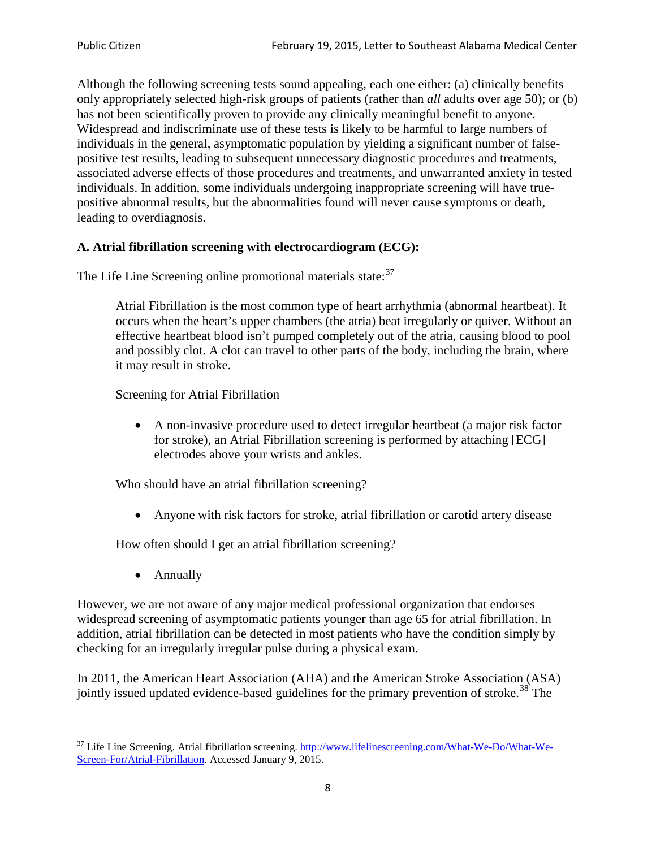Although the following screening tests sound appealing, each one either: (a) clinically benefits only appropriately selected high-risk groups of patients (rather than *all* adults over age 50); or (b) has not been scientifically proven to provide any clinically meaningful benefit to anyone. Widespread and indiscriminate use of these tests is likely to be harmful to large numbers of individuals in the general, asymptomatic population by yielding a significant number of falsepositive test results, leading to subsequent unnecessary diagnostic procedures and treatments, associated adverse effects of those procedures and treatments, and unwarranted anxiety in tested individuals. In addition, some individuals undergoing inappropriate screening will have truepositive abnormal results, but the abnormalities found will never cause symptoms or death, leading to overdiagnosis.

## **A. Atrial fibrillation screening with electrocardiogram (ECG):**

The Life Line Screening online promotional materials state:<sup>[37](#page-7-0)</sup>

Atrial Fibrillation is the most common type of heart arrhythmia (abnormal heartbeat). It occurs when the heart's upper chambers (the atria) beat irregularly or quiver. Without an effective heartbeat blood isn't pumped completely out of the atria, causing blood to pool and possibly clot. A clot can travel to other parts of the body, including the brain, where it may result in stroke.

Screening for Atrial Fibrillation

• A non-invasive procedure used to detect irregular heartbeat (a major risk factor for stroke), an Atrial Fibrillation screening is performed by attaching [ECG] electrodes above your wrists and ankles.

Who should have an atrial fibrillation screening?

• Anyone with risk factors for stroke, atrial fibrillation or carotid artery disease

How often should I get an atrial fibrillation screening?

• Annually

<span id="page-7-1"></span>However, we are not aware of any major medical professional organization that endorses widespread screening of asymptomatic patients younger than age 65 for atrial fibrillation. In addition, atrial fibrillation can be detected in most patients who have the condition simply by checking for an irregularly irregular pulse during a physical exam.

In 2011, the American Heart Association (AHA) and the American Stroke Association (ASA) jointly issued updated evidence-based guidelines for the primary prevention of stroke.<sup>[38](#page-7-1)</sup> The

<span id="page-7-0"></span><sup>&</sup>lt;sup>37</sup> Life Line Screening. Atrial fibrillation screening. [http://www.lifelinescreening.com/What-We-Do/What-We-](http://www.lifelinescreening.com/What-We-Do/What-We-Screen-For/Atrial-Fibrillation)[Screen-For/Atrial-Fibrillation.](http://www.lifelinescreening.com/What-We-Do/What-We-Screen-For/Atrial-Fibrillation) Accessed January 9, 2015.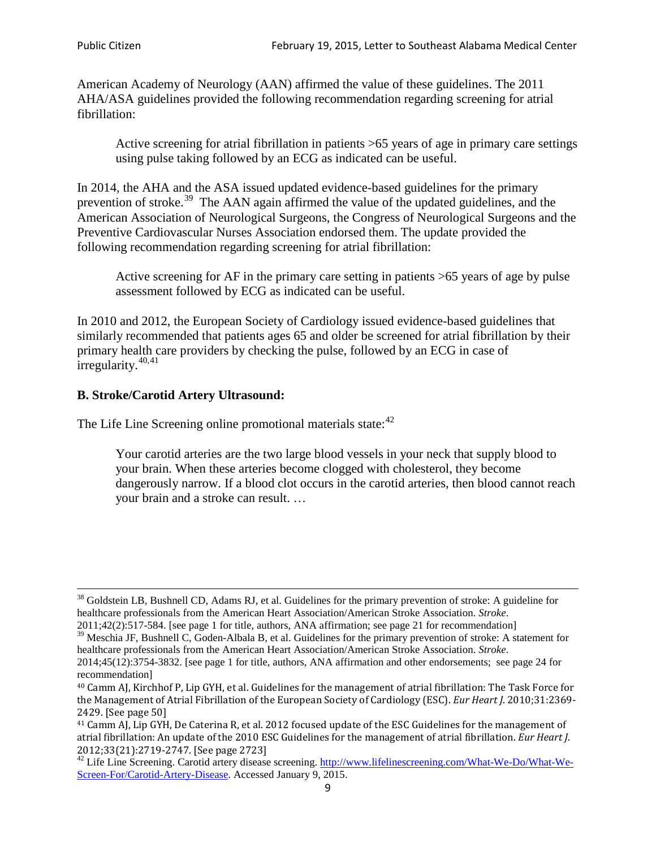American Academy of Neurology (AAN) affirmed the value of these guidelines. The 2011 AHA/ASA guidelines provided the following recommendation regarding screening for atrial fibrillation:

Active screening for atrial fibrillation in patients >65 years of age in primary care settings using pulse taking followed by an ECG as indicated can be useful.

In 2014, the AHA and the ASA issued updated evidence-based guidelines for the primary prevention of stroke.<sup>[39](#page-8-0)</sup> The AAN again affirmed the value of the updated guidelines, and the American Association of Neurological Surgeons, the Congress of Neurological Surgeons and the Preventive Cardiovascular Nurses Association endorsed them. The update provided the following recommendation regarding screening for atrial fibrillation:

Active screening for AF in the primary care setting in patients >65 years of age by pulse assessment followed by ECG as indicated can be useful.

In 2010 and 2012, the European Society of Cardiology issued evidence-based guidelines that similarly recommended that patients ages 65 and older be screened for atrial fibrillation by their primary health care providers by checking the pulse, followed by an ECG in case of irregularity. $40,41$  $40,41$ 

# **B. Stroke/Carotid Artery Ultrasound:**

The Life Line Screening online promotional materials state:<sup>[42](#page-8-3)</sup>

Your carotid arteries are the two large blood vessels in your neck that supply blood to your brain. When these arteries become clogged with cholesterol, they become dangerously narrow. If a blood clot occurs in the carotid arteries, then blood cannot reach your brain and a stroke can result. …

<sup>&</sup>lt;sup>38</sup> Goldstein LB, Bushnell CD, Adams RJ, et al. Guidelines for the primary prevention of stroke: A guideline for healthcare professionals from the American Heart Association/American Stroke Association. *Stroke*.

<sup>2011;42(2):517-584.</sup> [see page 1 for title, authors, ANA affirmation; see page 21 for recommendation]

<span id="page-8-0"></span> $\frac{2011,42(2)(317,601)}{39}$  Meschia JF, Bushnell C, Goden-Albala B, et al. Guidelines for the primary prevention of stroke: A statement for healthcare professionals from the American Heart Association/American Stroke Association. *Stroke*.

<sup>2014;45(12):3754-3832.</sup> [see page 1 for title, authors, ANA affirmation and other endorsements; see page 24 for recommendation]

<span id="page-8-1"></span><sup>40</sup> Camm AJ, Kirchhof P, Lip GYH, et al. Guidelines for the management of atrial fibrillation: The Task Force for the Management of Atrial Fibrillation of the European Society of Cardiology (ESC). *Eur Heart J*. 2010;31:2369- 2429. [See page 50]

<span id="page-8-2"></span><sup>41</sup> Camm AJ, Lip GYH, De Caterina R, et al. 2012 focused update of the ESC Guidelines for the management of atrial fibrillation: An update of the 2010 ESC Guidelines for the management of atrial fibrillation. *Eur Heart J*.

<span id="page-8-3"></span><sup>2012;33(21):2719-2747. [</sup>See page 2723]<br><sup>42</sup> Life Line Screening. Carotid artery disease screening. [http://www.lifelinescreening.com/What-We-Do/What-We-](http://www.lifelinescreening.com/What-We-Do/What-We-Screen-For/Carotid-Artery-Disease)[Screen-For/Carotid-Artery-Disease.](http://www.lifelinescreening.com/What-We-Do/What-We-Screen-For/Carotid-Artery-Disease) Accessed January 9, 2015.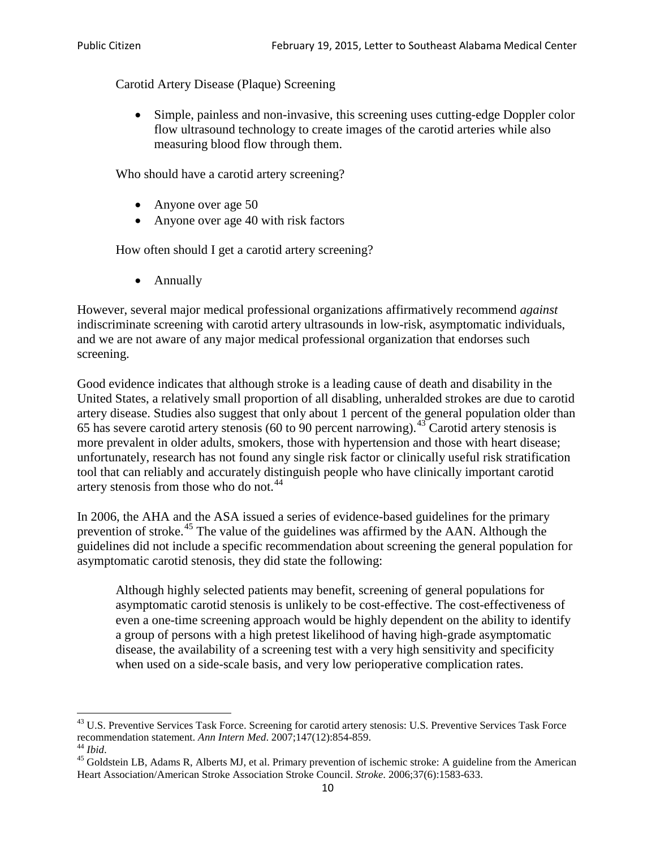Carotid Artery Disease (Plaque) Screening

• Simple, painless and non-invasive, this screening uses cutting-edge Doppler color flow ultrasound technology to create images of the carotid arteries while also measuring blood flow through them.

Who should have a carotid artery screening?

- Anyone over age 50
- Anyone over age 40 with risk factors

How often should I get a carotid artery screening?

• Annually

However, several major medical professional organizations affirmatively recommend *against* indiscriminate screening with carotid artery ultrasounds in low-risk, asymptomatic individuals, and we are not aware of any major medical professional organization that endorses such screening.

Good evidence indicates that although stroke is a leading cause of death and disability in the United States, a relatively small proportion of all disabling, unheralded strokes are due to carotid artery disease. Studies also suggest that only about 1 percent of the general population older than 65 has severe carotid artery stenosis (60 to 90 percent narrowing).<sup>[43](#page-9-0)</sup> Carotid artery stenosis is more prevalent in older adults, smokers, those with hypertension and those with heart disease; unfortunately, research has not found any single risk factor or clinically useful risk stratification tool that can reliably and accurately distinguish people who have clinically important carotid artery stenosis from those who do not.<sup>[44](#page-9-1)</sup>

In 2006, the AHA and the ASA issued a series of evidence-based guidelines for the primary prevention of stroke.[45](#page-9-2) The value of the guidelines was affirmed by the AAN. Although the guidelines did not include a specific recommendation about screening the general population for asymptomatic carotid stenosis, they did state the following:

Although highly selected patients may benefit, screening of general populations for asymptomatic carotid stenosis is unlikely to be cost-effective. The cost-effectiveness of even a one-time screening approach would be highly dependent on the ability to identify a group of persons with a high pretest likelihood of having high-grade asymptomatic disease, the availability of a screening test with a very high sensitivity and specificity when used on a side-scale basis, and very low perioperative complication rates.

<span id="page-9-0"></span> $^{43}$  U.S. Preventive Services Task Force. Screening for carotid artery stenosis: U.S. Preventive Services Task Force recommendation statement. Ann Intern Med. 2007;147(12):854-859.

<span id="page-9-2"></span>

<span id="page-9-1"></span><sup>&</sup>lt;sup>44</sup> *Ibid*. <sup>45</sup> Goldstein LB, Adams R, Alberts MJ, et al. Primary prevention of ischemic stroke: A guideline from the American <sup>45</sup> Goldstein LB, Adams R, Alberts MJ, et al. Primary prevention of ischemic stroke: A guide Heart Association/American Stroke Association Stroke Council. *Stroke*. 2006;37(6):1583-633.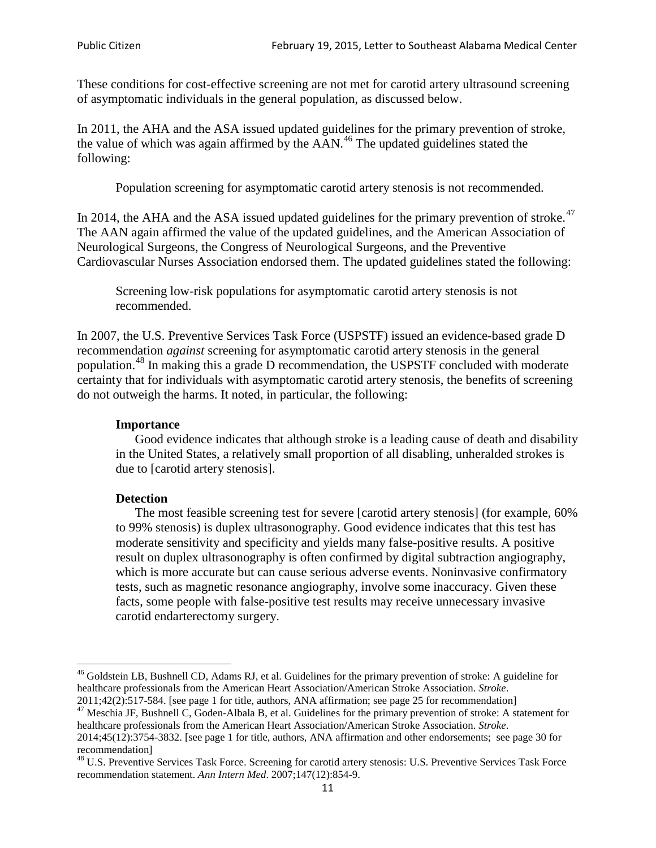These conditions for cost-effective screening are not met for carotid artery ultrasound screening of asymptomatic individuals in the general population, as discussed below.

In 2011, the AHA and the ASA issued updated guidelines for the primary prevention of stroke, the value of which was again affirmed by the  $AAN<sup>46</sup>$  $AAN<sup>46</sup>$  $AAN<sup>46</sup>$ . The updated guidelines stated the following:

Population screening for asymptomatic carotid artery stenosis is not recommended.

In 2014, the AHA and the ASA issued updated guidelines for the primary prevention of stroke. $47$ The AAN again affirmed the value of the updated guidelines, and the American Association of Neurological Surgeons, the Congress of Neurological Surgeons, and the Preventive Cardiovascular Nurses Association endorsed them. The updated guidelines stated the following:

Screening low-risk populations for asymptomatic carotid artery stenosis is not recommended.

In 2007, the U.S. Preventive Services Task Force (USPSTF) issued an evidence-based grade D recommendation *against* screening for asymptomatic carotid artery stenosis in the general population.[48](#page-10-2) In making this a grade D recommendation, the USPSTF concluded with moderate certainty that for individuals with asymptomatic carotid artery stenosis, the benefits of screening do not outweigh the harms. It noted, in particular, the following:

#### **Importance**

Good evidence indicates that although stroke is a leading cause of death and disability in the United States, a relatively small proportion of all disabling, unheralded strokes is due to [carotid artery stenosis].

#### **Detection**

The most feasible screening test for severe [carotid artery stenosis] (for example, 60% to 99% stenosis) is duplex ultrasonography. Good evidence indicates that this test has moderate sensitivity and specificity and yields many false-positive results. A positive result on duplex ultrasonography is often confirmed by digital subtraction angiography, which is more accurate but can cause serious adverse events. Noninvasive confirmatory tests, such as magnetic resonance angiography, involve some inaccuracy. Given these facts, some people with false-positive test results may receive unnecessary invasive carotid endarterectomy surgery.

<span id="page-10-0"></span><sup>&</sup>lt;sup>46</sup> Goldstein LB, Bushnell CD, Adams RJ, et al. Guidelines for the primary prevention of stroke: A guideline for healthcare professionals from the American Heart Association/American Stroke Association. *Stroke*.<br>2011;42(2):517-584. [see page 1 for title, authors, ANA affirmation; see page 25 for recommendation]

<span id="page-10-1"></span><sup>&</sup>lt;sup>47</sup> Meschia JF, Bushnell C, Goden-Albala B, et al. Guidelines for the primary prevention of stroke: A statement for healthcare professionals from the American Heart Association/American Stroke Association. *Stroke*. 2014;45(12):3754-3832. [see page 1 for title, authors, ANA affirmation and other endorsements; see page 30 for

recommendation] <sup>48</sup> U.S. Preventive Services Task Force. Screening for carotid artery stenosis: U.S. Preventive Services Task Force

<span id="page-10-2"></span>recommendation statement. *Ann Intern Med*. 2007;147(12):854-9.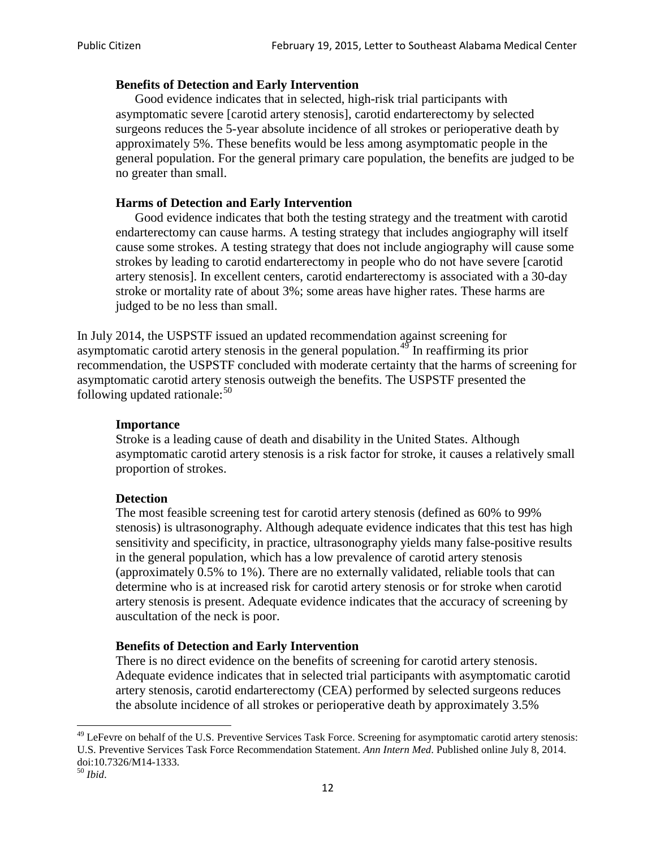## **Benefits of Detection and Early Intervention**

Good evidence indicates that in selected, high-risk trial participants with asymptomatic severe [carotid artery stenosis], carotid endarterectomy by selected surgeons reduces the 5-year absolute incidence of all strokes or perioperative death by approximately 5%. These benefits would be less among asymptomatic people in the general population. For the general primary care population, the benefits are judged to be no greater than small.

## **Harms of Detection and Early Intervention**

Good evidence indicates that both the testing strategy and the treatment with carotid endarterectomy can cause harms. A testing strategy that includes angiography will itself cause some strokes. A testing strategy that does not include angiography will cause some strokes by leading to carotid endarterectomy in people who do not have severe [carotid artery stenosis]. In excellent centers, carotid endarterectomy is associated with a 30-day stroke or mortality rate of about 3%; some areas have higher rates. These harms are judged to be no less than small.

In July 2014, the USPSTF issued an updated recommendation against screening for asymptomatic carotid artery stenosis in the general population.<sup>[49](#page-11-0)</sup> In reaffirming its prior recommendation, the USPSTF concluded with moderate certainty that the harms of screening for asymptomatic carotid artery stenosis outweigh the benefits. The USPSTF presented the following updated rationale: $50$ 

#### **Importance**

Stroke is a leading cause of death and disability in the United States. Although asymptomatic carotid artery stenosis is a risk factor for stroke, it causes a relatively small proportion of strokes.

#### **Detection**

The most feasible screening test for carotid artery stenosis (defined as 60% to 99% stenosis) is ultrasonography. Although adequate evidence indicates that this test has high sensitivity and specificity, in practice, ultrasonography yields many false-positive results in the general population, which has a low prevalence of carotid artery stenosis (approximately 0.5% to 1%). There are no externally validated, reliable tools that can determine who is at increased risk for carotid artery stenosis or for stroke when carotid artery stenosis is present. Adequate evidence indicates that the accuracy of screening by auscultation of the neck is poor.

#### **Benefits of Detection and Early Intervention**

There is no direct evidence on the benefits of screening for carotid artery stenosis. Adequate evidence indicates that in selected trial participants with asymptomatic carotid artery stenosis, carotid endarterectomy (CEA) performed by selected surgeons reduces the absolute incidence of all strokes or perioperative death by approximately 3.5%

<span id="page-11-0"></span><sup>&</sup>lt;sup>49</sup> LeFevre on behalf of the U.S. Preventive Services Task Force. Screening for asymptomatic carotid artery stenosis: U.S. Preventive Services Task Force Recommendation Statement. *Ann Intern Med*. Published online July 8, 2014. doi:10.7326/M14-1333. <sup>50</sup> *Ibid*.

<span id="page-11-1"></span>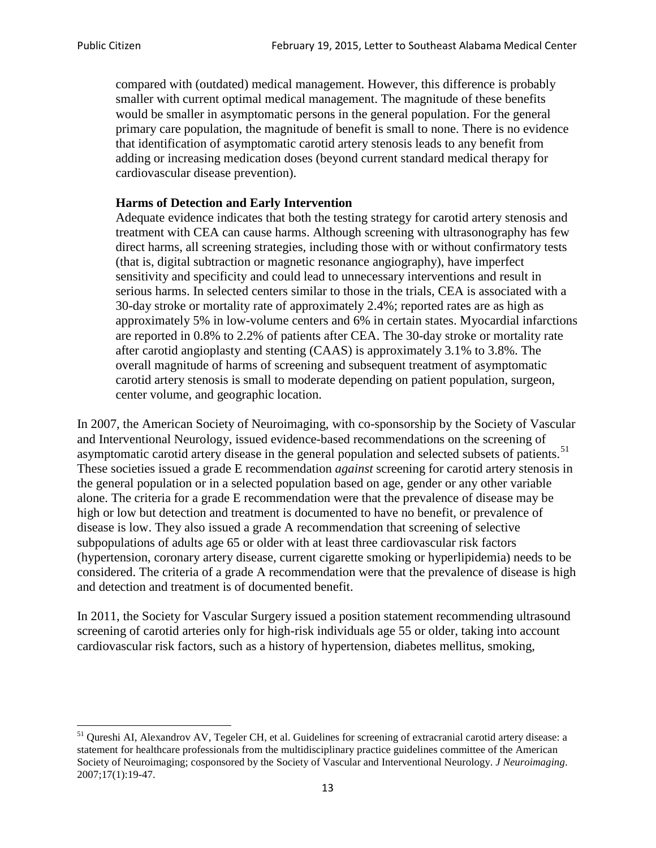compared with (outdated) medical management. However, this difference is probably smaller with current optimal medical management. The magnitude of these benefits would be smaller in asymptomatic persons in the general population. For the general primary care population, the magnitude of benefit is small to none. There is no evidence that identification of asymptomatic carotid artery stenosis leads to any benefit from adding or increasing medication doses (beyond current standard medical therapy for cardiovascular disease prevention).

## **Harms of Detection and Early Intervention**

Adequate evidence indicates that both the testing strategy for carotid artery stenosis and treatment with CEA can cause harms. Although screening with ultrasonography has few direct harms, all screening strategies, including those with or without confirmatory tests (that is, digital subtraction or magnetic resonance angiography), have imperfect sensitivity and specificity and could lead to unnecessary interventions and result in serious harms. In selected centers similar to those in the trials, CEA is associated with a 30-day stroke or mortality rate of approximately 2.4%; reported rates are as high as approximately 5% in low-volume centers and 6% in certain states. Myocardial infarctions are reported in 0.8% to 2.2% of patients after CEA. The 30-day stroke or mortality rate after carotid angioplasty and stenting (CAAS) is approximately 3.1% to 3.8%. The overall magnitude of harms of screening and subsequent treatment of asymptomatic carotid artery stenosis is small to moderate depending on patient population, surgeon, center volume, and geographic location.

In 2007, the American Society of Neuroimaging, with co-sponsorship by the Society of Vascular and Interventional Neurology, issued evidence-based recommendations on the screening of asymptomatic carotid artery disease in the general population and selected subsets of patients.<sup>[51](#page-12-0)</sup> These societies issued a grade E recommendation *against* screening for carotid artery stenosis in the general population or in a selected population based on age, gender or any other variable alone. The criteria for a grade E recommendation were that the prevalence of disease may be high or low but detection and treatment is documented to have no benefit, or prevalence of disease is low. They also issued a grade A recommendation that screening of selective subpopulations of adults age 65 or older with at least three cardiovascular risk factors (hypertension, coronary artery disease, current cigarette smoking or hyperlipidemia) needs to be considered. The criteria of a grade A recommendation were that the prevalence of disease is high and detection and treatment is of documented benefit.

In 2011, the Society for Vascular Surgery issued a position statement recommending ultrasound screening of carotid arteries only for high-risk individuals age 55 or older, taking into account cardiovascular risk factors, such as a history of hypertension, diabetes mellitus, smoking,

<span id="page-12-0"></span><sup>&</sup>lt;sup>51</sup> Qureshi AI, Alexandrov AV, Tegeler CH, et al. Guidelines for screening of extracranial carotid artery disease: a statement for healthcare professionals from the multidisciplinary practice guidelines committee of the American Society of Neuroimaging; cosponsored by the Society of Vascular and Interventional Neurology. *J Neuroimaging*. 2007;17(1):19-47.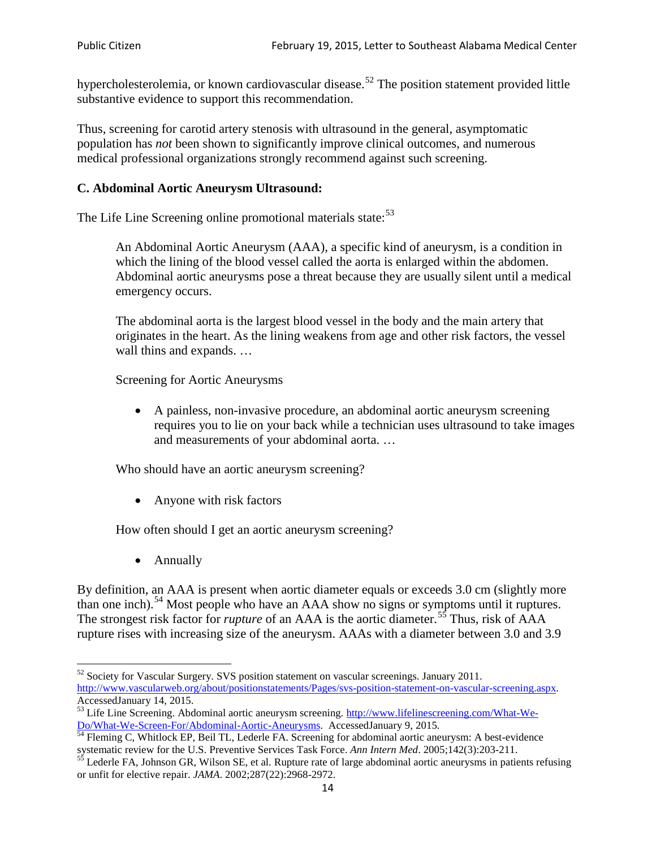hypercholesterolemia, or known cardiovascular disease.<sup>[52](#page-13-0)</sup> The position statement provided little substantive evidence to support this recommendation.

Thus, screening for carotid artery stenosis with ultrasound in the general, asymptomatic population has *not* been shown to significantly improve clinical outcomes, and numerous medical professional organizations strongly recommend against such screening.

## **C. Abdominal Aortic Aneurysm Ultrasound:**

The Life Line Screening online promotional materials state:<sup>[53](#page-13-1)</sup>

An Abdominal Aortic Aneurysm (AAA), a specific kind of aneurysm, is a condition in which the lining of the blood vessel called the aorta is enlarged within the abdomen. Abdominal aortic aneurysms pose a threat because they are usually silent until a medical emergency occurs.

The abdominal aorta is the largest blood vessel in the body and the main artery that originates in the heart. As the lining weakens from age and other risk factors, the vessel wall thins and expands. …

Screening for Aortic Aneurysms

• A painless, non-invasive procedure, an abdominal aortic aneurysm screening requires you to lie on your back while a technician uses ultrasound to take images and measurements of your abdominal aorta. …

Who should have an aortic aneurysm screening?

• Anyone with risk factors

How often should I get an aortic aneurysm screening?

• Annually

By definition, an AAA is present when aortic diameter equals or exceeds 3.0 cm (slightly more than one inch).<sup>[54](#page-13-2)</sup> Most people who have an AAA show no signs or symptoms until it ruptures. The strongest risk factor for *rupture* of an AAA is the aortic diameter.<sup>[55](#page-13-3)</sup> Thus, risk of AAA rupture rises with increasing size of the aneurysm. AAAs with a diameter between 3.0 and 3.9

<span id="page-13-0"></span><sup>&</sup>lt;sup>52</sup> Society for Vascular Surgery. SVS position statement on vascular screenings. January 2011. http://www.vascularweb.org/about/positionstatements/Pages/svs-position-statement-on-vascular-screening.aspx.<br>Accessed January 14, 2015.

<span id="page-13-1"></span>Accessed January 14, 2015.<br>
Sa Life Line Screening. Abdominal aortic aneurysm screening. http://www.lifelinescreening.com/What-We-<br>
Do/What-We-Screen-For/Abdominal-Aortic-Aneurysms. Accessed January 9, 2015.

<span id="page-13-2"></span> $\frac{54}{9}$  Fleming C, Whitlock EP, Beil TL, Lederle FA. Screening for abdominal aortic aneurysm: A best-evidence systematic review for the U.S. Preventive Services Task Force. *Ann Intern Med.* 2005;142(3):203-211.<br><sup>55</sup> Lederle FA, Johnson GR, Wilson SE, et al. Rupture rate of large abdominal aortic aneurysms in patients refusing

<span id="page-13-3"></span>or unfit for elective repair. *JAMA*. 2002;287(22):2968-2972.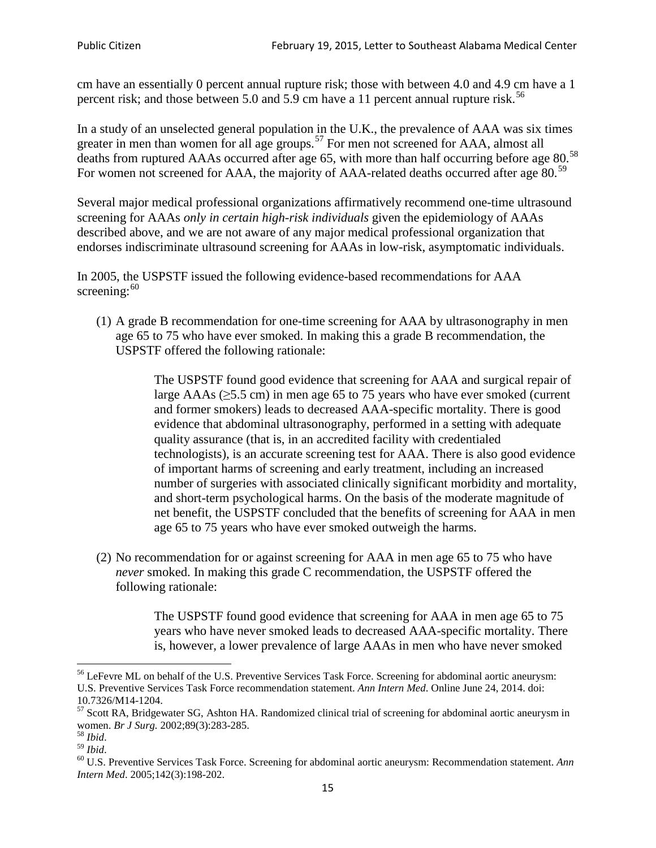cm have an essentially 0 percent annual rupture risk; those with between 4.0 and 4.9 cm have a 1 percent risk; and those between 5.0 and 5.9 cm have a 11 percent annual rupture risk.<sup>[56](#page-14-0)</sup>

In a study of an unselected general population in the U.K., the prevalence of AAA was six times greater in men than women for all age groups.<sup>[57](#page-14-1)</sup> For men not screened for  $AAA$ , almost all deaths from ruptured AAAs occurred after age 65, with more than half occurring before age 80.<sup>[58](#page-14-2)</sup> For women not screened for AAA, the majority of AAA-related deaths occurred after age 80.<sup>[59](#page-14-3)</sup>

Several major medical professional organizations affirmatively recommend one-time ultrasound screening for AAAs *only in certain high-risk individuals* given the epidemiology of AAAs described above, and we are not aware of any major medical professional organization that endorses indiscriminate ultrasound screening for AAAs in low-risk, asymptomatic individuals.

In 2005, the USPSTF issued the following evidence-based recommendations for AAA screening: $60$ 

(1) A grade B recommendation for one-time screening for AAA by ultrasonography in men age 65 to 75 who have ever smoked. In making this a grade [B recommendation,](http://www.uspreventiveservicestaskforce.org/uspstf/gradespre.htm#brec) the USPSTF offered the following rationale:

> The USPSTF found good evidence that screening for AAA and surgical repair of large AAAs ( $\geq$ 5.5 cm) in men age 65 to 75 years who have ever smoked (current and former smokers) leads to decreased AAA-specific mortality. There is good evidence that abdominal ultrasonography, performed in a setting with adequate quality assurance (that is, in an accredited facility with credentialed technologists), is an accurate screening test for AAA. There is also good evidence of important harms of screening and early treatment, including an increased number of surgeries with associated clinically significant morbidity and mortality, and short-term psychological harms. On the basis of the moderate magnitude of net benefit, the USPSTF concluded that the benefits of screening for AAA in men age 65 to 75 years who have ever smoked outweigh the harms.

(2) No recommendation for or against screening for AAA in men age 65 to 75 who have *never* smoked. In making this grade C recommendation, the USPSTF offered the following rationale:

> The USPSTF found good evidence that screening for AAA in men age 65 to 75 years who have never smoked leads to decreased AAA-specific mortality. There is, however, a lower prevalence of large AAAs in men who have never smoked

<span id="page-14-0"></span><sup>&</sup>lt;sup>56</sup> LeFevre ML on behalf of the U.S. Preventive Services Task Force. Screening for abdominal aortic aneurysm: U.S. Preventive Services Task Force recommendation statement. *Ann Intern Med*. Online June 24, 2014. doi:

<span id="page-14-1"></span><sup>10.7326/</sup>M14-1204.<br> $57$  Scott RA, Bridgewater SG, Ashton HA. Randomized clinical trial of screening for abdominal aortic aneurysm in women. *Br J Surg.* 2002;89(3):283-285.

<span id="page-14-4"></span><span id="page-14-3"></span>

<span id="page-14-2"></span><sup>&</sup>lt;sup>58</sup> *Ibid.*<br><sup>59</sup> *Ibid.* 2002;<br><sup>60</sup> U.S. Preventive Services Task Force. Screening for abdominal aortic aneurysm: Recommendation statement. *Ann Intern Med*. 2005;142(3):198-202.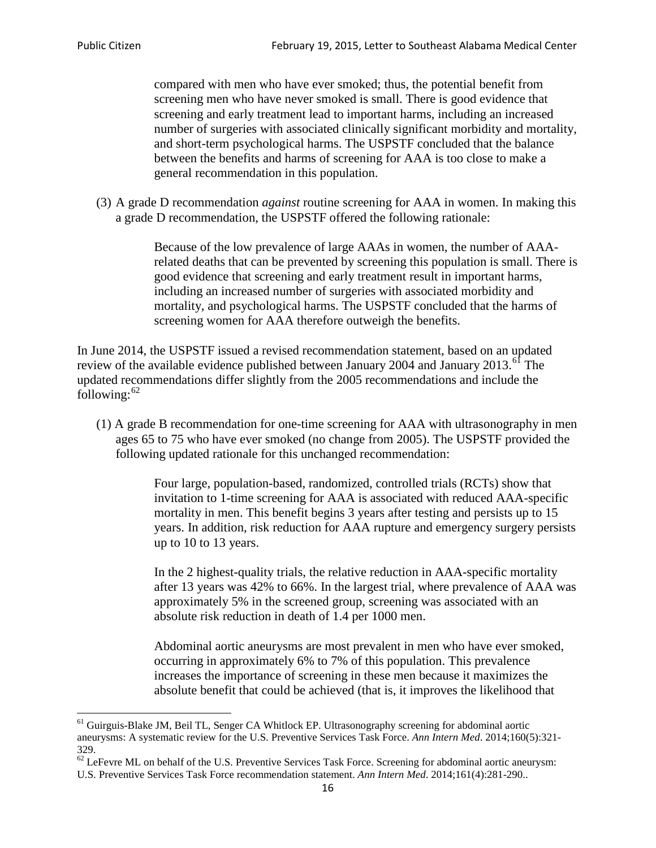compared with men who have ever smoked; thus, the potential benefit from screening men who have never smoked is small. There is good evidence that screening and early treatment lead to important harms, including an increased number of surgeries with associated clinically significant morbidity and mortality, and short-term psychological harms. The USPSTF concluded that the balance between the benefits and harms of screening for AAA is too close to make a general recommendation in this population.

(3) A grade D recommendation *against* routine screening for AAA in women. In making this a grade D recommendation, the USPSTF offered the following rationale:

> Because of the low prevalence of large AAAs in women, the number of AAArelated deaths that can be prevented by screening this population is small. There is good evidence that screening and early treatment result in important harms, including an increased number of surgeries with associated morbidity and mortality, and psychological harms. The USPSTF concluded that the harms of screening women for AAA therefore outweigh the benefits.

In June 2014, the USPSTF issued a revised recommendation statement, based on an updated review of the available evidence published between January 2004 and January 2013.<sup>[61](#page-15-0)</sup> The updated recommendations differ slightly from the 2005 recommendations and include the following: $62$ 

(1) A grade B recommendation for one-time screening for AAA with ultrasonography in men ages 65 to 75 who have ever smoked (no change from 2005). The USPSTF provided the following updated rationale for this unchanged recommendation:

> Four large, population-based, randomized, controlled trials (RCTs) show that invitation to 1-time screening for AAA is associated with reduced AAA-specific mortality in men. This benefit begins 3 years after testing and persists up to 15 years. In addition, risk reduction for AAA rupture and emergency surgery persists up to 10 to 13 years.

> In the 2 highest-quality trials, the relative reduction in AAA-specific mortality after 13 years was 42% to 66%. In the largest trial, where prevalence of AAA was approximately 5% in the screened group, screening was associated with an absolute risk reduction in death of 1.4 per 1000 men.

Abdominal aortic aneurysms are most prevalent in men who have ever smoked, occurring in approximately 6% to 7% of this population. This prevalence increases the importance of screening in these men because it maximizes the absolute benefit that could be achieved (that is, it improves the likelihood that

<span id="page-15-0"></span><sup>61</sup> Guirguis-Blake JM, Beil TL, Senger CA Whitlock EP. Ultrasonography screening for abdominal aortic aneurysms: A systematic review for the U.S. Preventive Services Task Force. *Ann Intern Med*. 2014;160(5):321- 329.

<span id="page-15-1"></span> $62$  LeFevre ML on behalf of the U.S. Preventive Services Task Force. Screening for abdominal aortic aneurysm: U.S. Preventive Services Task Force recommendation statement. *Ann Intern Med*. 2014;161(4):281-290..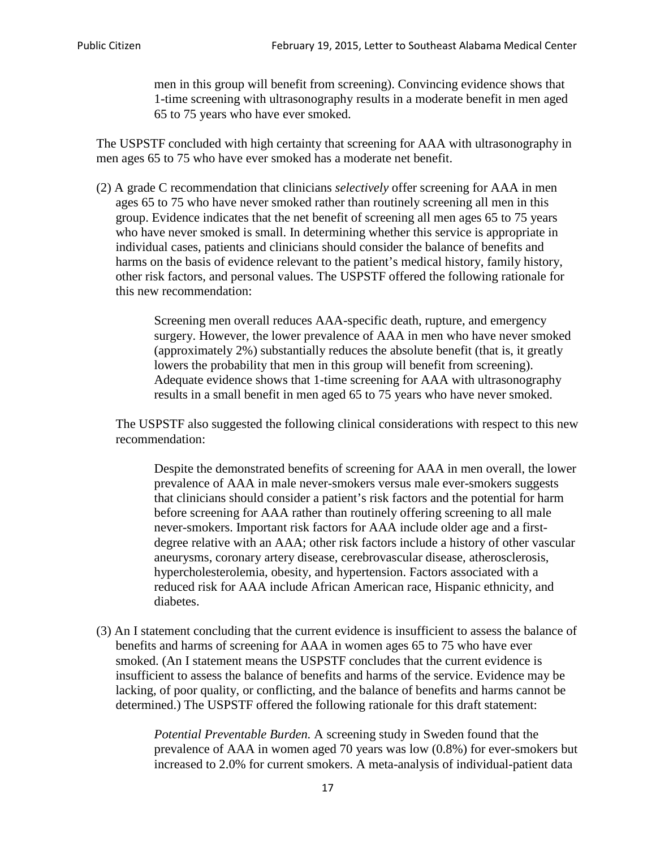men in this group will benefit from screening). Convincing evidence shows that 1-time screening with ultrasonography results in a moderate benefit in men aged 65 to 75 years who have ever smoked.

The USPSTF concluded with high certainty that screening for AAA with ultrasonography in men ages 65 to 75 who have ever smoked has a moderate net benefit.

(2) A grade C recommendation that clinicians *selectively* offer screening for AAA in men ages 65 to 75 who have never smoked rather than routinely screening all men in this group. Evidence indicates that the net benefit of screening all men ages 65 to 75 years who have never smoked is small. In determining whether this service is appropriate in individual cases, patients and clinicians should consider the balance of benefits and harms on the basis of evidence relevant to the patient's medical history, family history, other risk factors, and personal values. The USPSTF offered the following rationale for this new recommendation:

> Screening men overall reduces AAA-specific death, rupture, and emergency surgery. However, the lower prevalence of AAA in men who have never smoked (approximately 2%) substantially reduces the absolute benefit (that is, it greatly lowers the probability that men in this group will benefit from screening). Adequate evidence shows that 1-time screening for AAA with ultrasonography results in a small benefit in men aged 65 to 75 years who have never smoked.

The USPSTF also suggested the following clinical considerations with respect to this new recommendation:

Despite the demonstrated benefits of screening for AAA in men overall, the lower prevalence of AAA in male never-smokers versus male ever-smokers suggests that clinicians should consider a patient's risk factors and the potential for harm before screening for AAA rather than routinely offering screening to all male never-smokers. Important risk factors for AAA include older age and a firstdegree relative with an AAA; other risk factors include a history of other vascular aneurysms, coronary artery disease, cerebrovascular disease, atherosclerosis, hypercholesterolemia, obesity, and hypertension. Factors associated with a reduced risk for AAA include African American race, Hispanic ethnicity, and diabetes.

(3) An I statement concluding that the current evidence is insufficient to assess the balance of benefits and harms of screening for AAA in women ages 65 to 75 who have ever smoked. (An I statement means the USPSTF concludes that the current evidence is insufficient to assess the balance of benefits and harms of the service. Evidence may be lacking, of poor quality, or conflicting, and the balance of benefits and harms cannot be determined.) The USPSTF offered the following rationale for this draft statement:

> *Potential Preventable Burden.* A screening study in Sweden found that the prevalence of AAA in women aged 70 years was low (0.8%) for ever-smokers but increased to 2.0% for current smokers. A meta-analysis of individual-patient data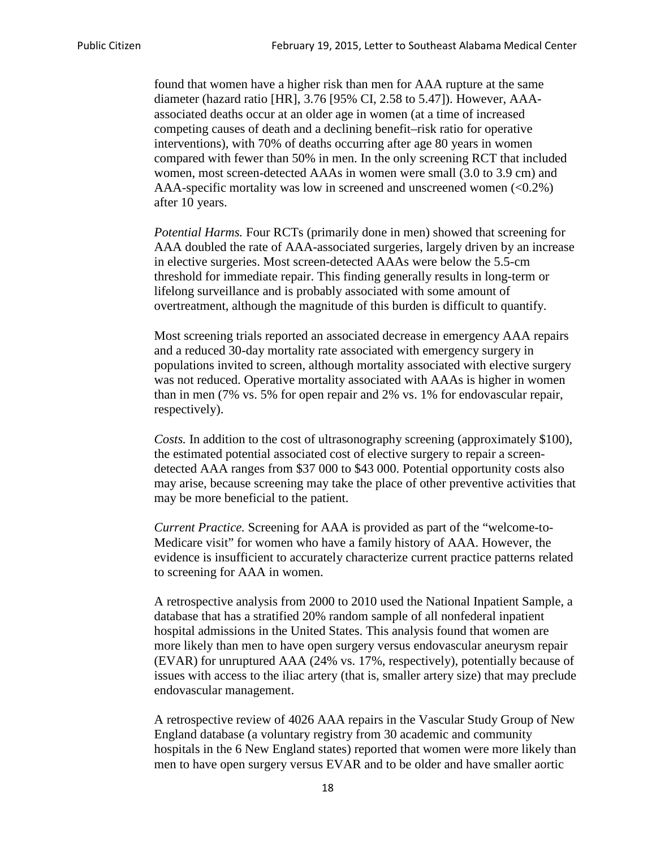found that women have a higher risk than men for AAA rupture at the same diameter (hazard ratio [HR], 3.76 [95% CI, 2.58 to 5.47]). However, AAAassociated deaths occur at an older age in women (at a time of increased competing causes of death and a declining benefit–risk ratio for operative interventions), with 70% of deaths occurring after age 80 years in women compared with fewer than 50% in men. In the only screening RCT that included women, most screen-detected AAAs in women were small (3.0 to 3.9 cm) and AAA-specific mortality was low in screened and unscreened women (<0.2%) after 10 years.

*Potential Harms.* Four RCTs (primarily done in men) showed that screening for AAA doubled the rate of AAA-associated surgeries, largely driven by an increase in elective surgeries. Most screen-detected AAAs were below the 5.5-cm threshold for immediate repair. This finding generally results in long-term or lifelong surveillance and is probably associated with some amount of overtreatment, although the magnitude of this burden is difficult to quantify.

Most screening trials reported an associated decrease in emergency AAA repairs and a reduced 30-day mortality rate associated with emergency surgery in populations invited to screen, although mortality associated with elective surgery was not reduced. Operative mortality associated with AAAs is higher in women than in men (7% vs. 5% for open repair and 2% vs. 1% for endovascular repair, respectively).

*Costs.* In addition to the cost of ultrasonography screening (approximately \$100), the estimated potential associated cost of elective surgery to repair a screendetected AAA ranges from \$37 000 to \$43 000. Potential opportunity costs also may arise, because screening may take the place of other preventive activities that may be more beneficial to the patient.

*Current Practice.* Screening for AAA is provided as part of the "welcome-to-Medicare visit" for women who have a family history of AAA. However, the evidence is insufficient to accurately characterize current practice patterns related to screening for AAA in women.

A retrospective analysis from 2000 to 2010 used the National Inpatient Sample, a database that has a stratified 20% random sample of all nonfederal inpatient hospital admissions in the United States. This analysis found that women are more likely than men to have open surgery versus endovascular aneurysm repair (EVAR) for unruptured AAA (24% vs. 17%, respectively), potentially because of issues with access to the iliac artery (that is, smaller artery size) that may preclude endovascular management.

A retrospective review of 4026 AAA repairs in the Vascular Study Group of New England database (a voluntary registry from 30 academic and community hospitals in the 6 New England states) reported that women were more likely than men to have open surgery versus EVAR and to be older and have smaller aortic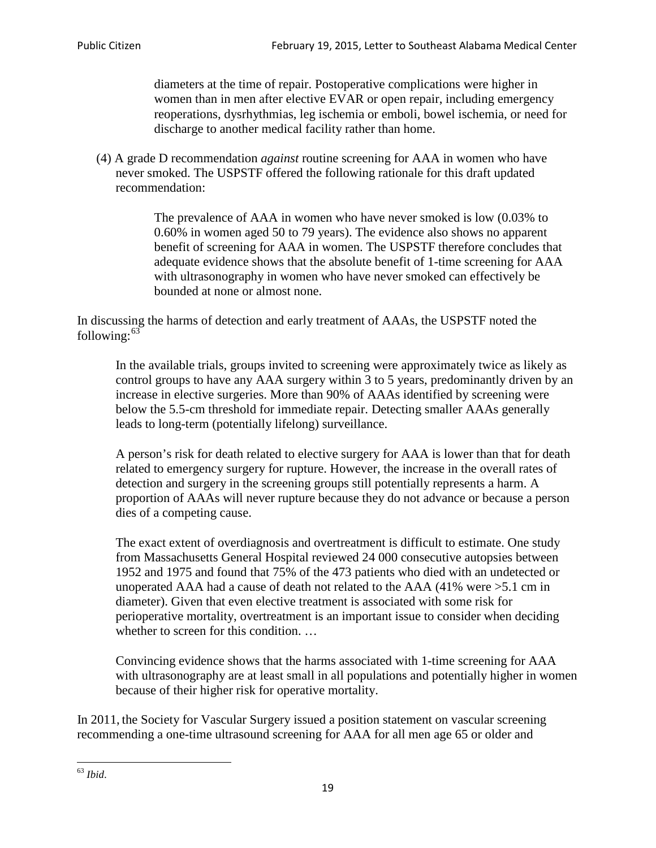diameters at the time of repair. Postoperative complications were higher in women than in men after elective EVAR or open repair, including emergency reoperations, dysrhythmias, leg ischemia or emboli, bowel ischemia, or need for discharge to another medical facility rather than home.

(4) A grade D recommendation *against* routine screening for AAA in women who have never smoked. The USPSTF offered the following rationale for this draft updated recommendation:

> The prevalence of AAA in women who have never smoked is low (0.03% to 0.60% in women aged 50 to 79 years). The evidence also shows no apparent benefit of screening for AAA in women. The USPSTF therefore concludes that adequate evidence shows that the absolute benefit of 1-time screening for AAA with ultrasonography in women who have never smoked can effectively be bounded at none or almost none.

In discussing the harms of detection and early treatment of AAAs, the USPSTF noted the following: $63$ 

In the available trials, groups invited to screening were approximately twice as likely as control groups to have any AAA surgery within 3 to 5 years, predominantly driven by an increase in elective surgeries. More than 90% of AAAs identified by screening were below the 5.5-cm threshold for immediate repair. Detecting smaller AAAs generally leads to long-term (potentially lifelong) surveillance.

A person's risk for death related to elective surgery for AAA is lower than that for death related to emergency surgery for rupture. However, the increase in the overall rates of detection and surgery in the screening groups still potentially represents a harm. A proportion of AAAs will never rupture because they do not advance or because a person dies of a competing cause.

The exact extent of overdiagnosis and overtreatment is difficult to estimate. One study from Massachusetts General Hospital reviewed 24 000 consecutive autopsies between 1952 and 1975 and found that 75% of the 473 patients who died with an undetected or unoperated AAA had a cause of death not related to the AAA (41% were >5.1 cm in diameter). Given that even elective treatment is associated with some risk for perioperative mortality, overtreatment is an important issue to consider when deciding whether to screen for this condition....

Convincing evidence shows that the harms associated with 1-time screening for AAA with ultrasonography are at least small in all populations and potentially higher in women because of their higher risk for operative mortality.

In 2011, the Society for Vascular Surgery issued a position statement on vascular screening recommending a one-time ultrasound screening for AAA for all men age 65 or older and

<span id="page-18-0"></span><sup>63</sup> *Ibid*.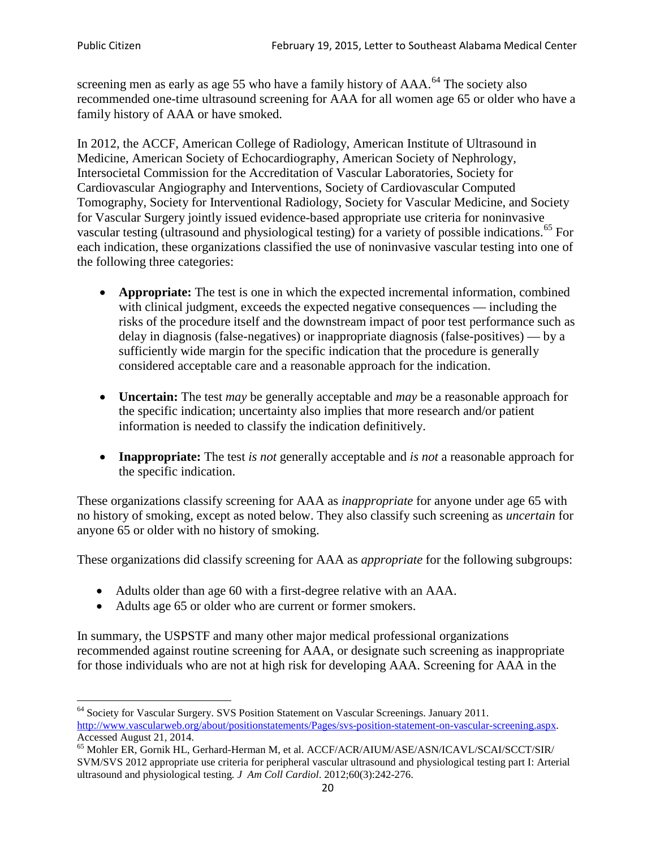screening men as early as age 55 who have a family history of AAA.<sup>[64](#page-19-0)</sup> The society also recommended one-time ultrasound screening for AAA for all women age 65 or older who have a family history of AAA or have smoked.

In 2012, the ACCF, American College of Radiology, American Institute of Ultrasound in Medicine, American Society of Echocardiography, American Society of Nephrology, Intersocietal Commission for the Accreditation of Vascular Laboratories, Society for Cardiovascular Angiography and Interventions, Society of Cardiovascular Computed Tomography, Society for Interventional Radiology, Society for Vascular Medicine, and Society for Vascular Surgery jointly issued evidence-based appropriate use criteria for noninvasive vascular testing (ultrasound and physiological testing) for a variety of possible indications.<sup>[65](#page-19-1)</sup> For each indication, these organizations classified the use of noninvasive vascular testing into one of the following three categories:

- **Appropriate:** The test is one in which the expected incremental information, combined with clinical judgment, exceeds the expected negative consequences — including the risks of the procedure itself and the downstream impact of poor test performance such as delay in diagnosis (false-negatives) or inappropriate diagnosis (false-positives) — by a sufficiently wide margin for the specific indication that the procedure is generally considered acceptable care and a reasonable approach for the indication.
- **Uncertain:** The test *may* be generally acceptable and *may* be a reasonable approach for the specific indication; uncertainty also implies that more research and/or patient information is needed to classify the indication definitively.
- **Inappropriate:** The test *is not* generally acceptable and *is not* a reasonable approach for the specific indication.

These organizations classify screening for AAA as *inappropriate* for anyone under age 65 with no history of smoking, except as noted below. They also classify such screening as *uncertain* for anyone 65 or older with no history of smoking.

These organizations did classify screening for AAA as *appropriate* for the following subgroups:

- Adults older than age 60 with a first-degree relative with an AAA.
- Adults age 65 or older who are current or former smokers.

In summary, the USPSTF and many other major medical professional organizations recommended against routine screening for AAA, or designate such screening as inappropriate for those individuals who are not at high risk for developing AAA. Screening for AAA in the

<span id="page-19-0"></span><sup>64</sup> Society for Vascular Surgery. SVS Position Statement on Vascular Screenings. January 2011. [http://www.vascularweb.org/about/positionstatements/Pages/svs-position-statement-on-vascular-screening.aspx.](http://www.vascularweb.org/about/positionstatements/Pages/svs-position-statement-on-vascular-screening.aspx) 

<span id="page-19-1"></span>Accessed August 21, 2014.<br><sup>65</sup> Mohler ER, Gornik HL, Gerhard-Herman M, et al. ACCF/ACR/AIUM/ASE/ASN/ICAVL/SCAI/SCCT/SIR/ SVM/SVS 2012 appropriate use criteria for peripheral vascular ultrasound and physiological testing part I: Arterial ultrasound and physiological testing*. J Am Coll Cardiol*. 2012;60(3):242-276.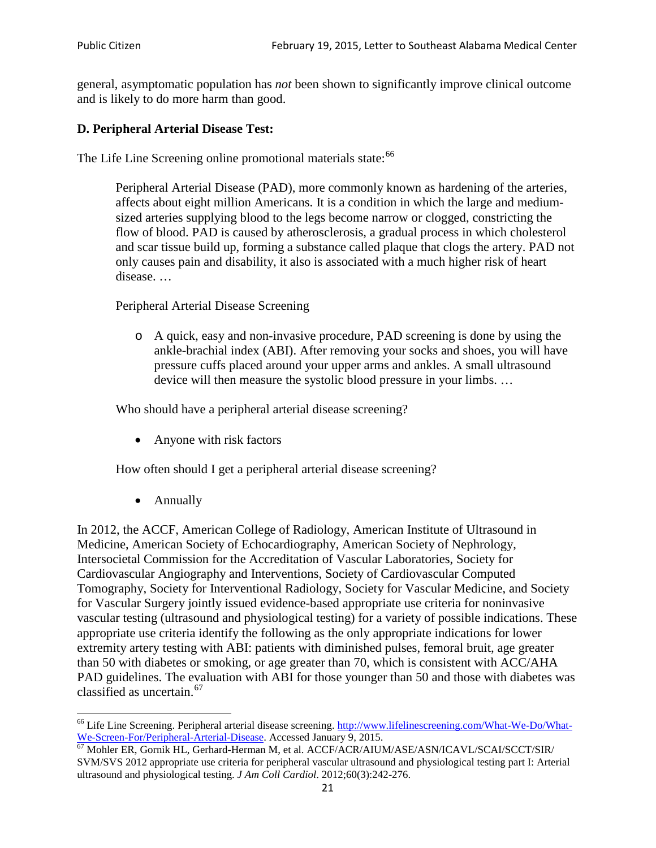general, asymptomatic population has *not* been shown to significantly improve clinical outcome and is likely to do more harm than good.

## **D. Peripheral Arterial Disease Test:**

The Life Line Screening online promotional materials state:<sup>[66](#page-20-0)</sup>

Peripheral Arterial Disease (PAD), more commonly known as hardening of the arteries, affects about eight million Americans. It is a condition in which the large and mediumsized arteries supplying blood to the legs become narrow or clogged, constricting the flow of blood. PAD is caused by atherosclerosis, a gradual process in which cholesterol and scar tissue build up, forming a substance called plaque that clogs the artery. PAD not only causes pain and disability, it also is associated with a much higher risk of heart disease. …

Peripheral Arterial Disease Screening

o A quick, easy and non-invasive procedure, PAD screening is done by using the ankle-brachial index (ABI). After removing your socks and shoes, you will have pressure cuffs placed around your upper arms and ankles. A small ultrasound device will then measure the systolic blood pressure in your limbs. …

Who should have a peripheral arterial disease screening?

• Anyone with risk factors

How often should I get a peripheral arterial disease screening?

• Annually

In 2012, the ACCF, American College of Radiology, American Institute of Ultrasound in Medicine, American Society of Echocardiography, American Society of Nephrology, Intersocietal Commission for the Accreditation of Vascular Laboratories, Society for Cardiovascular Angiography and Interventions, Society of Cardiovascular Computed Tomography, Society for Interventional Radiology, Society for Vascular Medicine, and Society for Vascular Surgery jointly issued evidence-based appropriate use criteria for noninvasive vascular testing (ultrasound and physiological testing) for a variety of possible indications. These appropriate use criteria identify the following as the only appropriate indications for lower extremity artery testing with ABI: patients with diminished pulses, femoral bruit, age greater than 50 with diabetes or smoking, or age greater than 70, which is consistent with ACC/AHA PAD guidelines. The evaluation with ABI for those younger than 50 and those with diabetes was classified as uncertain.[67](#page-20-1)

<span id="page-20-0"></span><sup>&</sup>lt;sup>66</sup> Life Line Screening. Peripheral arterial disease screening. [http://www.lifelinescreening.com/What-We-Do/What-](http://www.lifelinescreening.com/What-We-Do/What-We-Screen-For/Peripheral-Arterial-Disease)[We-Screen-For/Peripheral-Arterial-Disease.](http://www.lifelinescreening.com/What-We-Do/What-We-Screen-For/Peripheral-Arterial-Disease) Accessed January 9, 2015.<br><sup>67</sup> Mohler ER, Gornik HL, Gerhard-Herman M, et al. ACCF/ACR/AIUM/ASE/ASN/ICAVL/SCAI/SCCT/SIR/

<span id="page-20-1"></span>SVM/SVS 2012 appropriate use criteria for peripheral vascular ultrasound and physiological testing part I: Arterial ultrasound and physiological testing. *J Am Coll Cardiol*. 2012;60(3):242-276.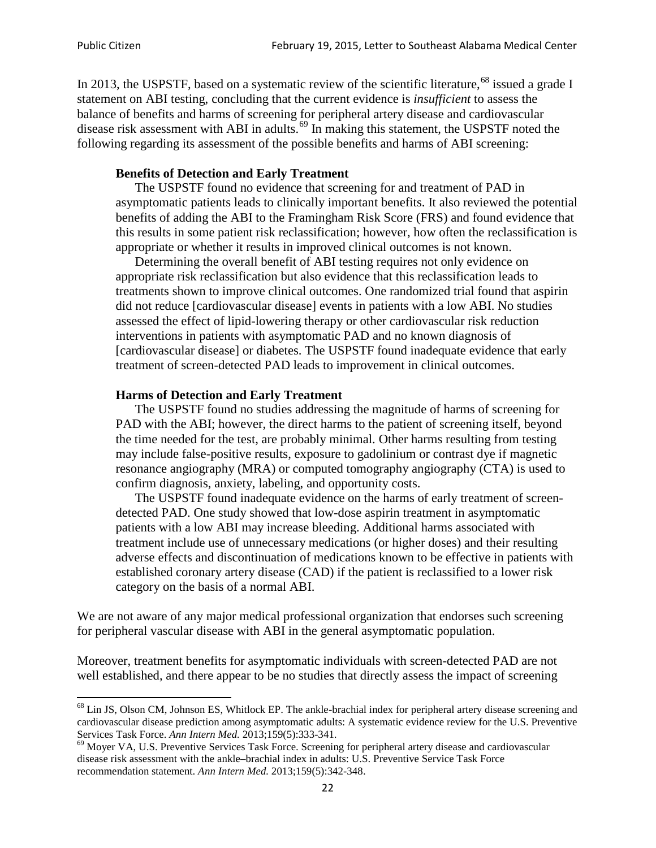In 2013, the USPSTF, based on a systematic review of the scientific literature,<sup>[68](#page-21-0)</sup> issued a grade I statement on ABI testing, concluding that the current evidence is *insufficient* to assess the balance of benefits and harms of screening for peripheral artery disease and cardiovascular disease risk assessment with ABI in adults.<sup>[69](#page-21-1)</sup> In making this statement, the USPSTF noted the following regarding its assessment of the possible benefits and harms of ABI screening:

#### **Benefits of Detection and Early Treatment**

The USPSTF found no evidence that screening for and treatment of PAD in asymptomatic patients leads to clinically important benefits. It also reviewed the potential benefits of adding the ABI to the Framingham Risk Score (FRS) and found evidence that this results in some patient risk reclassification; however, how often the reclassification is appropriate or whether it results in improved clinical outcomes is not known.

Determining the overall benefit of ABI testing requires not only evidence on appropriate risk reclassification but also evidence that this reclassification leads to treatments shown to improve clinical outcomes. One randomized trial found that aspirin did not reduce [cardiovascular disease] events in patients with a low ABI. No studies assessed the effect of lipid-lowering therapy or other cardiovascular risk reduction interventions in patients with asymptomatic PAD and no known diagnosis of [cardiovascular disease] or diabetes. The USPSTF found inadequate evidence that early treatment of screen-detected PAD leads to improvement in clinical outcomes.

#### **Harms of Detection and Early Treatment**

The USPSTF found no studies addressing the magnitude of harms of screening for PAD with the ABI; however, the direct harms to the patient of screening itself, beyond the time needed for the test, are probably minimal. Other harms resulting from testing may include false-positive results, exposure to gadolinium or contrast dye if magnetic resonance angiography (MRA) or computed tomography angiography (CTA) is used to confirm diagnosis, anxiety, labeling, and opportunity costs.

The USPSTF found inadequate evidence on the harms of early treatment of screendetected PAD. One study showed that low-dose aspirin treatment in asymptomatic patients with a low ABI may increase bleeding. Additional harms associated with treatment include use of unnecessary medications (or higher doses) and their resulting adverse effects and discontinuation of medications known to be effective in patients with established coronary artery disease (CAD) if the patient is reclassified to a lower risk category on the basis of a normal ABI.

We are not aware of any major medical professional organization that endorses such screening for peripheral vascular disease with ABI in the general asymptomatic population.

Moreover, treatment benefits for asymptomatic individuals with screen-detected PAD are not well established, and there appear to be no studies that directly assess the impact of screening

<span id="page-21-0"></span><sup>&</sup>lt;sup>68</sup> Lin JS, Olson CM, Johnson ES, Whitlock EP. The ankle-brachial index for peripheral artery disease screening and cardiovascular disease prediction among asymptomatic adults: A systematic evidence review for the U.S. Preventive Services Task Force. *Ann Intern Med.* 2013;159(5):333-341.<br><sup>69</sup> Moyer VA, U.S. Preventive Services Task Force. Screening for peripheral artery disease and cardiovascular

<span id="page-21-1"></span>disease risk assessment with the ankle–brachial index in adults: U.S. Preventive Service Task Force recommendation statement. *Ann Intern Med.* 2013;159(5):342-348.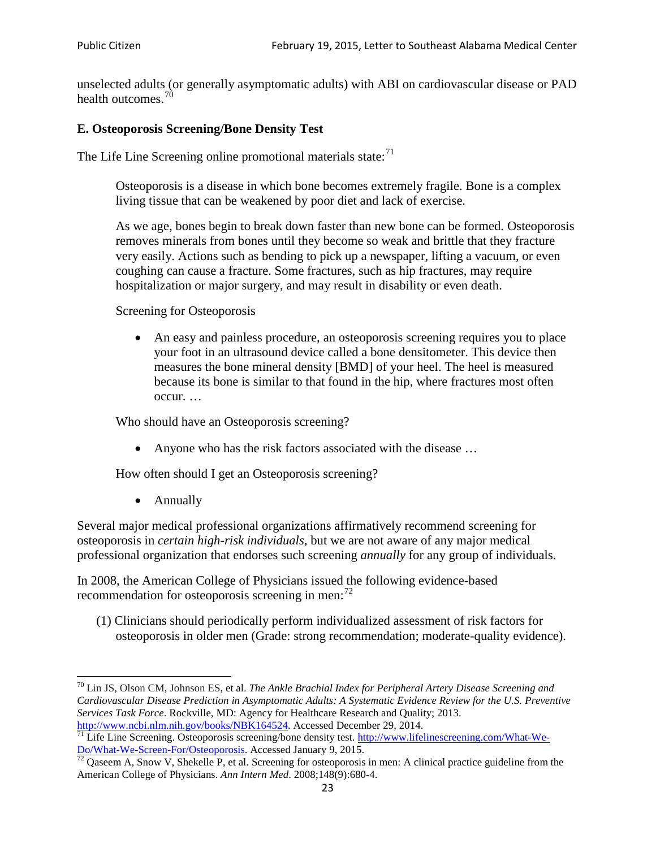unselected adults (or generally asymptomatic adults) with ABI on cardiovascular disease or PAD health outcomes.<sup>[70](#page-22-0)</sup>

### **E. Osteoporosis Screening/Bone Density Test**

The Life Line Screening online promotional materials state: $71$ 

Osteoporosis is a disease in which bone becomes extremely fragile. Bone is a complex living tissue that can be weakened by poor diet and lack of exercise.

As we age, bones begin to break down faster than new bone can be formed. Osteoporosis removes minerals from bones until they become so weak and brittle that they fracture very easily. Actions such as bending to pick up a newspaper, lifting a vacuum, or even coughing can cause a fracture. Some fractures, such as hip fractures, may require hospitalization or major surgery, and may result in disability or even death.

Screening for Osteoporosis

• An easy and painless procedure, an osteoporosis screening requires you to place your foot in an ultrasound device called a bone densitometer. This device then measures the bone mineral density [BMD] of your heel. The heel is measured because its bone is similar to that found in the hip, where fractures most often occur. …

Who should have an Osteoporosis screening?

• Anyone who has the risk factors associated with the disease ...

How often should I get an Osteoporosis screening?

• Annually

Several major medical professional organizations affirmatively recommend screening for osteoporosis in *certain high-risk individuals*, but we are not aware of any major medical professional organization that endorses such screening *annually* for any group of individuals.

In 2008, the American College of Physicians issued the following evidence-based recommendation for osteoporosis screening in men: $^{72}$  $^{72}$  $^{72}$ 

(1) Clinicians should periodically perform individualized assessment of risk factors for osteoporosis in older men (Grade: strong recommendation; moderate-quality evidence).

<span id="page-22-0"></span><sup>70</sup> [Lin JS,](http://www.ncbi.nlm.nih.gov/pubmed?term=Lin%20JS%5BAuthor%5D&cauthor=true&cauthor_uid=24156115) [Olson CM,](http://www.ncbi.nlm.nih.gov/pubmed?term=Olson%20CM%5BAuthor%5D&cauthor=true&cauthor_uid=24156115) [Johnson ES,](http://www.ncbi.nlm.nih.gov/pubmed?term=Johnson%20ES%5BAuthor%5D&cauthor=true&cauthor_uid=24156115) et al. *The Ankle Brachial Index for Peripheral Artery Disease Screening and Cardiovascular Disease Prediction in Asymptomatic Adults: A Systematic Evidence Review for the U.S. Preventive Services Task Force*. Rockville, MD: Agency for Healthcare Research and Quality; 2013.<br>http://www.ncbi.nlm.nih.gov/books/NBK164524. Accessed December 29, 2014.

<span id="page-22-1"></span> $\frac{1}{71}$  Life Line Screening. Osteoporosis screening/bone density test. [http://www.lifelinescreening.com/What-We-](http://www.lifelinescreening.com/What-We-Do/What-We-Screen-For/Osteoporosis)[Do/What-We-Screen-For/Osteoporosis.](http://www.lifelinescreening.com/What-We-Do/What-We-Screen-For/Osteoporosis) Accessed January 9, 2015. <sup>72</sup> Qaseem A, Snow V, Shekelle P, et al. Screening for osteoporosis in men: A clinical practice guideline from the

<span id="page-22-2"></span>American College of Physicians. *Ann Intern Med*. 2008;148(9):680-4.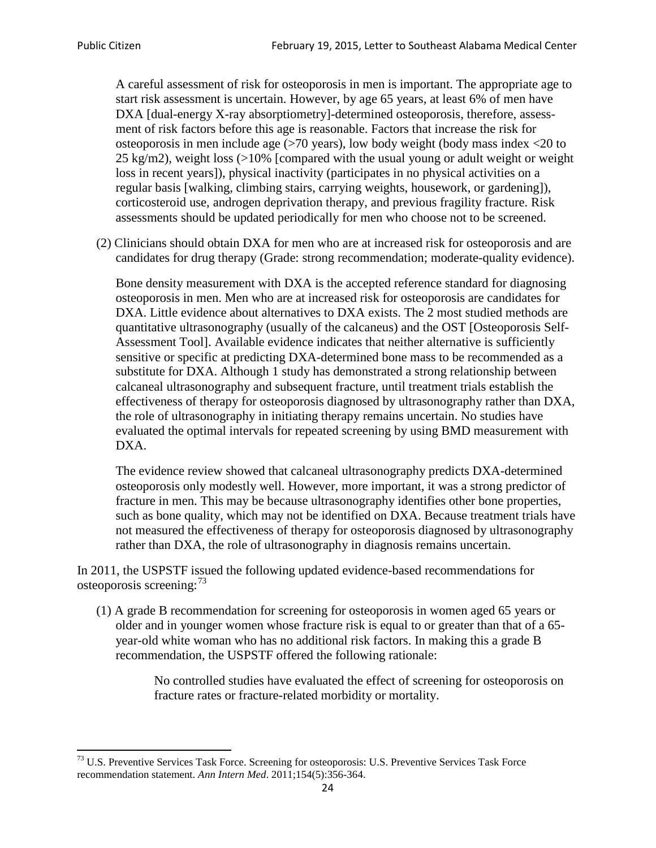A careful assessment of risk for osteoporosis in men is important. The appropriate age to start risk assessment is uncertain. However, by age 65 years, at least 6% of men have DXA [dual-energy X-ray absorptiometry]-determined osteoporosis, therefore, assessment of risk factors before this age is reasonable. Factors that increase the risk for osteoporosis in men include age (>70 years), low body weight (body mass index <20 to 25 kg/m2), weight loss  $\langle$  >10% [compared with the usual young or adult weight or weight loss in recent years]), physical inactivity (participates in no physical activities on a regular basis [walking, climbing stairs, carrying weights, housework, or gardening]), corticosteroid use, androgen deprivation therapy, and previous fragility fracture. Risk assessments should be updated periodically for men who choose not to be screened.

(2) Clinicians should obtain DXA for men who are at increased risk for osteoporosis and are candidates for drug therapy (Grade: strong recommendation; moderate-quality evidence).

Bone density measurement with DXA is the accepted reference standard for diagnosing osteoporosis in men. Men who are at increased risk for osteoporosis are candidates for DXA. Little evidence about alternatives to DXA exists. The 2 most studied methods are quantitative ultrasonography (usually of the calcaneus) and the OST [Osteoporosis Self-Assessment Tool]. Available evidence indicates that neither alternative is sufficiently sensitive or specific at predicting DXA-determined bone mass to be recommended as a substitute for DXA. Although 1 study has demonstrated a strong relationship between calcaneal ultrasonography and subsequent fracture, until treatment trials establish the effectiveness of therapy for osteoporosis diagnosed by ultrasonography rather than DXA, the role of ultrasonography in initiating therapy remains uncertain. No studies have evaluated the optimal intervals for repeated screening by using BMD measurement with DXA.

The evidence review showed that calcaneal ultrasonography predicts DXA-determined osteoporosis only modestly well. However, more important, it was a strong predictor of fracture in men. This may be because ultrasonography identifies other bone properties, such as bone quality, which may not be identified on DXA. Because treatment trials have not measured the effectiveness of therapy for osteoporosis diagnosed by ultrasonography rather than DXA, the role of ultrasonography in diagnosis remains uncertain.

In 2011, the USPSTF issued the following updated evidence-based recommendations for osteoporosis screening:<sup>[73](#page-23-0)</sup>

(1) A grade B recommendation for screening for osteoporosis in women aged 65 years or older and in younger women whose fracture risk is equal to or greater than that of a 65 year-old white woman who has no additional risk factors. In making this a grade B recommendation, the USPSTF offered the following rationale:

> No controlled studies have evaluated the effect of screening for osteoporosis on fracture rates or fracture-related morbidity or mortality.

<span id="page-23-0"></span><sup>&</sup>lt;sup>73</sup> U.S. Preventive Services Task Force. Screening for osteoporosis: U.S. Preventive Services Task Force recommendation statement. *Ann Intern Med*. 2011;154(5):356-364.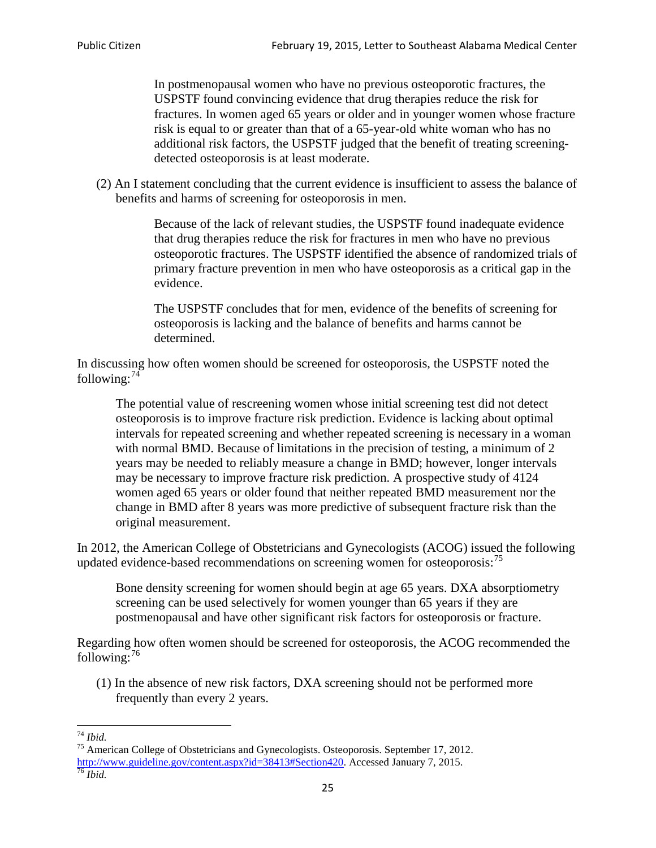In postmenopausal women who have no previous osteoporotic fractures, the USPSTF found convincing evidence that drug therapies reduce the risk for fractures. In women aged 65 years or older and in younger women whose fracture risk is equal to or greater than that of a 65-year-old white woman who has no additional risk factors, the USPSTF judged that the benefit of treating screeningdetected osteoporosis is at least moderate.

(2) An I statement concluding that the current evidence is insufficient to assess the balance of benefits and harms of screening for osteoporosis in men.

> Because of the lack of relevant studies, the USPSTF found inadequate evidence that drug therapies reduce the risk for fractures in men who have no previous osteoporotic fractures. The USPSTF identified the absence of randomized trials of primary fracture prevention in men who have osteoporosis as a critical gap in the evidence.

The USPSTF concludes that for men, evidence of the benefits of screening for osteoporosis is lacking and the balance of benefits and harms cannot be determined.

In discussing how often women should be screened for osteoporosis, the USPSTF noted the following: $74$ 

The potential value of rescreening women whose initial screening test did not detect osteoporosis is to improve fracture risk prediction. Evidence is lacking about optimal intervals for repeated screening and whether repeated screening is necessary in a woman with normal BMD. Because of limitations in the precision of testing, a minimum of 2 years may be needed to reliably measure a change in BMD; however, longer intervals may be necessary to improve fracture risk prediction. A prospective study of 4124 women aged 65 years or older found that neither repeated BMD measurement nor the change in BMD after 8 years was more predictive of subsequent fracture risk than the original measurement.

In 2012, the American College of Obstetricians and Gynecologists (ACOG) issued the following updated evidence-based recommendations on screening women for osteoporosis:<sup>[75](#page-24-1)</sup>

Bone density screening for women should begin at age 65 years. DXA absorptiometry screening can be used selectively for women younger than 65 years if they are postmenopausal and have other significant risk factors for osteoporosis or fracture.

Regarding how often women should be screened for osteoporosis, the ACOG recommended the following: $^{76}$  $^{76}$  $^{76}$ 

(1) In the absence of new risk factors, DXA screening should not be performed more frequently than every 2 years.

<span id="page-24-2"></span><span id="page-24-1"></span><span id="page-24-0"></span><sup>74</sup> *Ibid.* <sup>75</sup> American College of Obstetricians and Gynecologists. Osteoporosis. September 17, 2012. [http://www.guideline.gov/content.aspx?id=38413#Section420.](http://www.guideline.gov/content.aspx?id=38413#Section420) Accessed January 7, 2015.<br><sup>76</sup> *Ibid.*